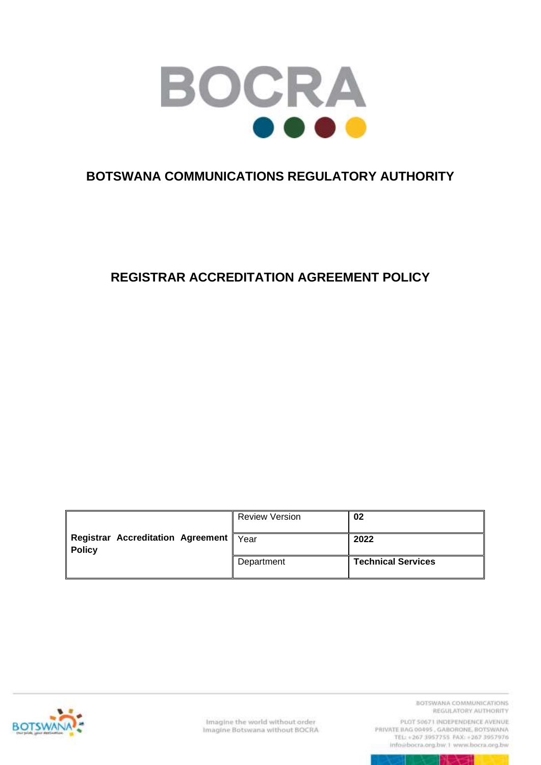

## **BOTSWANA COMMUNICATIONS REGULATORY AUTHORITY**

## **REGISTRAR ACCREDITATION AGREEMENT POLICY**

| <b>Registrar Accreditation Agreement  </b><br><b>Policy</b> | <b>Review Version</b> | 02                        |
|-------------------------------------------------------------|-----------------------|---------------------------|
|                                                             | Year                  | 2022                      |
|                                                             | Department            | <b>Technical Services</b> |



Imagine the world without order Imagine Botswana without BOCRA BOTSWANA COMMUNICATIONS REGULATORY AUTHORITY

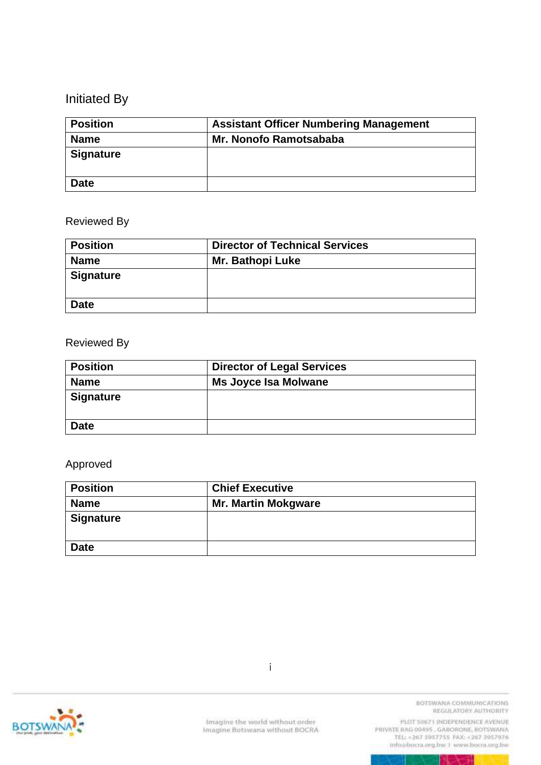# Initiated By

| <b>Position</b>  | <b>Assistant Officer Numbering Management</b> |
|------------------|-----------------------------------------------|
| <b>Name</b>      | Mr. Nonofo Ramotsababa                        |
| <b>Signature</b> |                                               |
| <b>Date</b>      |                                               |

#### Reviewed By

| <b>Position</b>  | <b>Director of Technical Services</b> |
|------------------|---------------------------------------|
| <b>Name</b>      | <b>Mr. Bathopi Luke</b>               |
| <b>Signature</b> |                                       |
| <b>Date</b>      |                                       |

#### Reviewed By

| <b>Position</b>  | <b>Director of Legal Services</b> |
|------------------|-----------------------------------|
| <b>Name</b>      | <b>Ms Joyce Isa Molwane</b>       |
| <b>Signature</b> |                                   |
| <b>Date</b>      |                                   |

#### Approved

| <b>Position</b>  | <b>Chief Executive</b>     |
|------------------|----------------------------|
| <b>Name</b>      | <b>Mr. Martin Mokgware</b> |
| <b>Signature</b> |                            |
| <b>Date</b>      |                            |



PLOT 50671 INDEPENDENCE AVENUE info@bocra.org.bw.1 www.bocra.org.bw

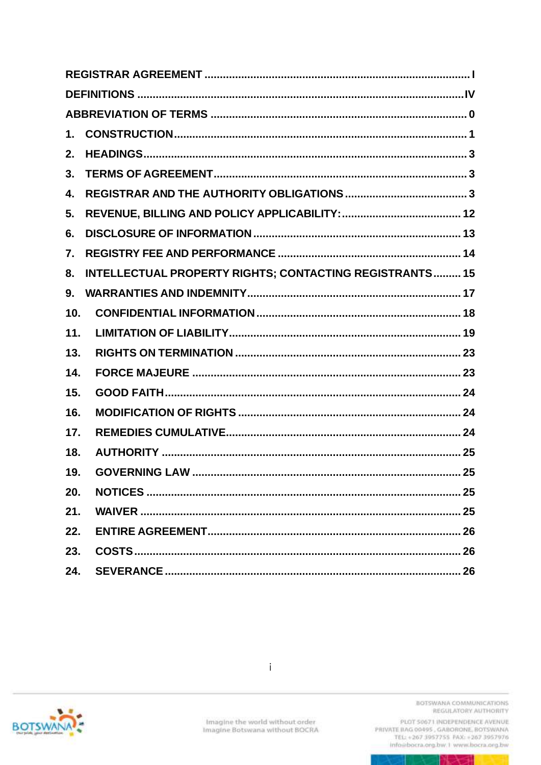| $\mathbf 1$ .   |                                                                |
|-----------------|----------------------------------------------------------------|
| 2.              |                                                                |
| 3.              |                                                                |
| 4.              |                                                                |
| 5.              |                                                                |
| 6.              |                                                                |
| 7.              |                                                                |
| 8.              | <b>INTELLECTUAL PROPERTY RIGHTS; CONTACTING REGISTRANTS 15</b> |
| 9.              |                                                                |
| 10 <sub>1</sub> |                                                                |
| 11.             |                                                                |
| 13.             |                                                                |
| 14.             |                                                                |
| 15.             |                                                                |
| 16.             |                                                                |
| 17.             |                                                                |
| 18.             |                                                                |
| 19.             | 25                                                             |
| 20.             |                                                                |
| 21.             |                                                                |
| 22.             |                                                                |
| 23.             |                                                                |
| 24.             |                                                                |



BOTSWANA COMMUNICATIONS REGULATORY AUTHORITY

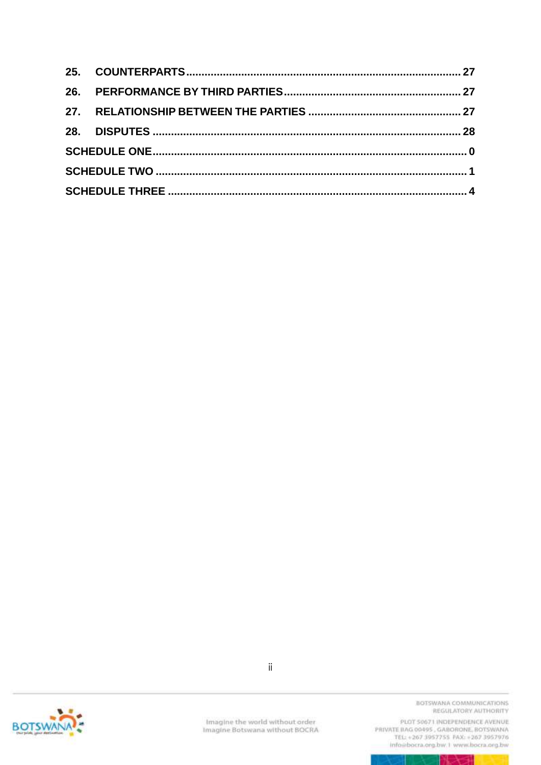

Imagine the world without order<br>Imagine Botswana without BOCRA

BOTSWANA COMMUNICATIONS REGULATORY AUTHORITY

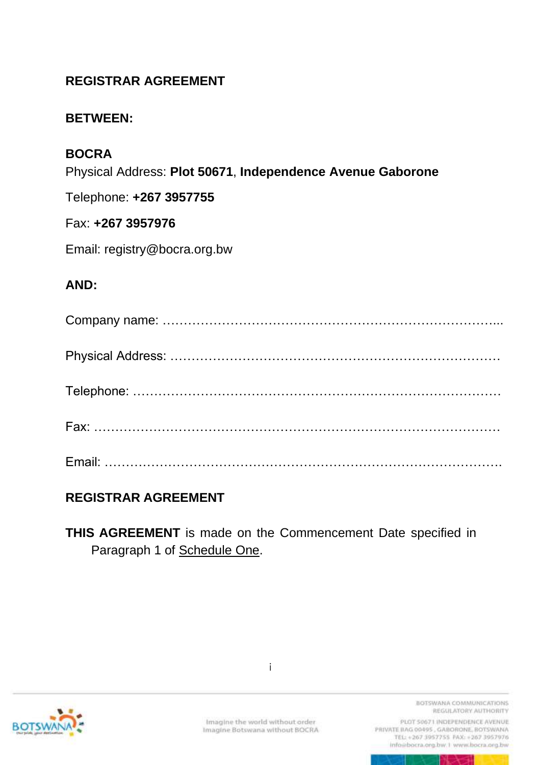## <span id="page-4-0"></span>**REGISTRAR AGREEMENT**

#### **BETWEEN:**

### **BOCRA**

Physical Address: **Plot 50671**, **Independence Avenue Gaborone**

Telephone: **+267 3957755**

#### Fax: **+267 3957976**

Email: registry@bocra.org.bw

#### **AND:**

### **REGISTRAR AGREEMENT**

**THIS AGREEMENT** is made on the Commencement Date specified in Paragraph 1 of Schedule One.



i

BOTSWANA COMMUNICATIONS REGULATORY AUTHORITY

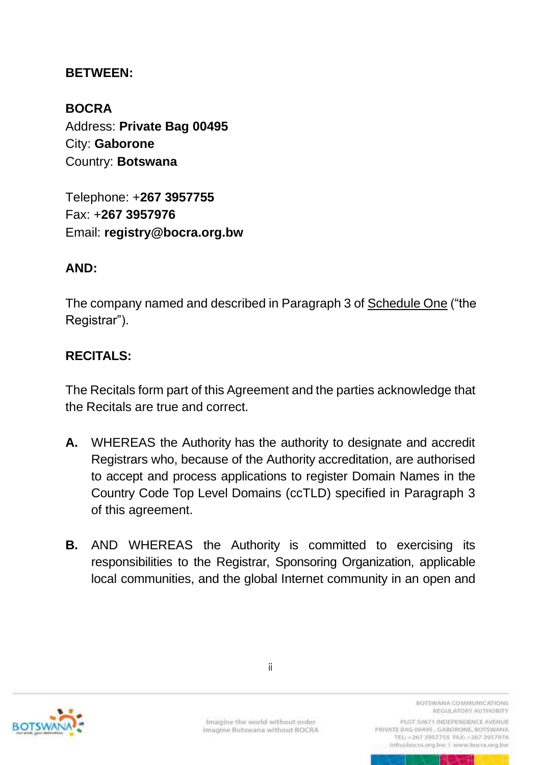#### **BETWEEN:**

**BOCRA** Address: **Private Bag 00495** City: **Gaborone** Country: **Botswana**

Telephone: +**267 3957755** Fax: +**267 3957976** Email: **registry@bocra.org.bw**

#### **AND:**

The company named and described in Paragraph 3 of Schedule One ("the Registrar").

### **RECITALS:**

The Recitals form part of this Agreement and the parties acknowledge that the Recitals are true and correct.

- **A.** WHEREAS the Authority has the authority to designate and accredit Registrars who, because of the Authority accreditation, are authorised to accept and process applications to register Domain Names in the Country Code Top Level Domains (ccTLD) specified in Paragraph 3 of this agreement.
- **B.** AND WHEREAS the Authority is committed to exercising its responsibilities to the Registrar, Sponsoring Organization, applicable local communities, and the global Internet community in an open and



ii

BOTSWANA COMMUNICATIONS REGULATORY AUTHORITY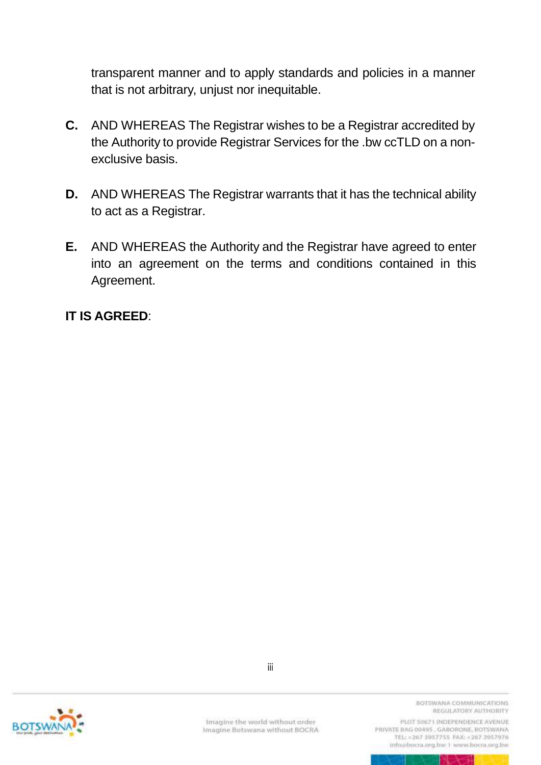transparent manner and to apply standards and policies in a manner that is not arbitrary, unjust nor inequitable.

- **C.** AND WHEREAS The Registrar wishes to be a Registrar accredited by the Authority to provide Registrar Services for the .bw ccTLD on a nonexclusive basis.
- **D.** AND WHEREAS The Registrar warrants that it has the technical ability to act as a Registrar.
- **E.** AND WHEREAS the Authority and the Registrar have agreed to enter into an agreement on the terms and conditions contained in this Agreement.

### **IT IS AGREED**:



Imagine the world without order Imagine Botswana without BOCRA

iii

BOTSWANA COMMUNICATIONS REGULATORY AUTHORITY

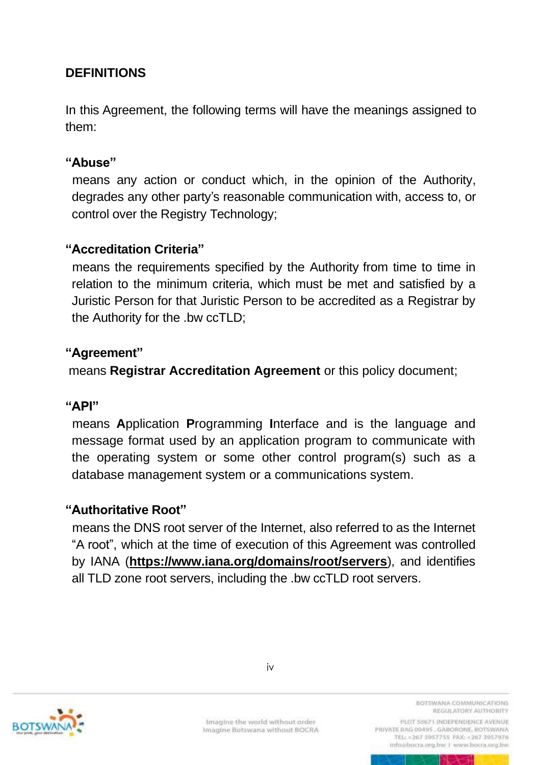## <span id="page-7-0"></span>**DEFINITIONS**

In this Agreement, the following terms will have the meanings assigned to them:

#### **"Abuse"**

means any action or conduct which, in the opinion of the Authority, degrades any other party's reasonable communication with, access to, or control over the Registry Technology;

#### **"Accreditation Criteria"**

means the requirements specified by the Authority from time to time in relation to the minimum criteria, which must be met and satisfied by a Juristic Person for that Juristic Person to be accredited as a Registrar by the Authority for the .bw ccTLD;

#### **"Agreement"**

means **Registrar Accreditation Agreement** or this policy document;

#### **"API"**

 means **A**pplication **P**rogramming **I**nterface and is the language and message format used by an application program to communicate with the operating system or some other control program(s) such as a database management system or a communications system.

#### **"Authoritative Root"**

means the DNS root server of the Internet, also referred to as the Internet "A root", which at the time of execution of this Agreement was controlled by IANA (**<https://www.iana.org/domains/root/servers>**), and identifies all TLD zone root servers, including the .bw ccTLD root servers.



BOTSWANA COMMUNICATIONS REGULATORY AUTHORITY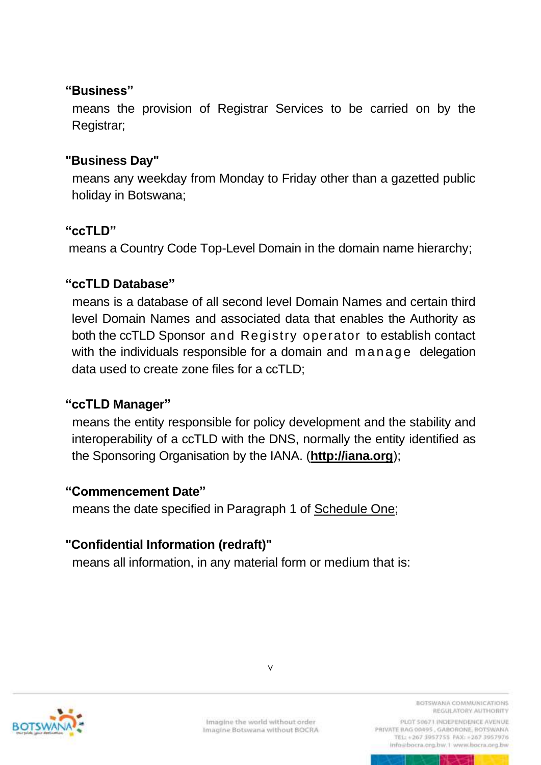#### **"Business"**

means the provision of Registrar Services to be carried on by the Registrar;

#### **"Business Day"**

means any weekday from Monday to Friday other than a gazetted public holiday in Botswana;

#### **"ccTLD"**

means a Country Code Top-Level Domain in the domain name hierarchy;

#### **"ccTLD Database"**

means is a database of all second level Domain Names and certain third level Domain Names and associated data that enables the Authority as both the ccTLD Sponsor and Registry operator to establish contact with the individuals responsible for a domain and manage delegation data used to create zone files for a ccTLD;

### **"ccTLD Manager"**

means the entity responsible for policy development and the stability and interoperability of a ccTLD with the DNS, normally the entity identified as the Sponsoring Organisation by the IANA. (**http://iana.org**);

#### **"Commencement Date"**

means the date specified in Paragraph 1 of Schedule One;

### **"Confidential Information (redraft)"**

means all information, in any material form or medium that is:



v

BOTSWANA COMMUNICATIONS REGULATORY AUTHORITY

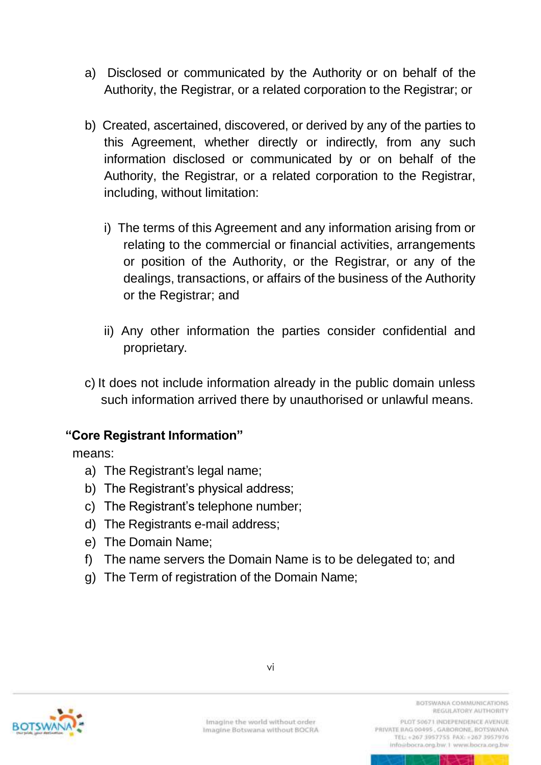- a) Disclosed or communicated by the Authority or on behalf of the Authority, the Registrar, or a related corporation to the Registrar; or
- b) Created, ascertained, discovered, or derived by any of the parties to this Agreement, whether directly or indirectly, from any such information disclosed or communicated by or on behalf of the Authority, the Registrar, or a related corporation to the Registrar, including, without limitation:
	- i) The terms of this Agreement and any information arising from or relating to the commercial or financial activities, arrangements or position of the Authority, or the Registrar, or any of the dealings, transactions, or affairs of the business of the Authority or the Registrar; and
	- ii) Any other information the parties consider confidential and proprietary.
- c) It does not include information already in the public domain unless such information arrived there by unauthorised or unlawful means.

#### **"Core Registrant Information"**

means:

- a) The Registrant's legal name;
- b) The Registrant's physical address;
- c) The Registrant's telephone number;
- d) The Registrants e-mail address;
- e) The Domain Name;
- f) The name servers the Domain Name is to be delegated to; and
- g) The Term of registration of the Domain Name;



Imagine the world without order Imagine Botswana without BOCRA BOTSWANA COMMUNICATIONS REGULATORY AUTHORITY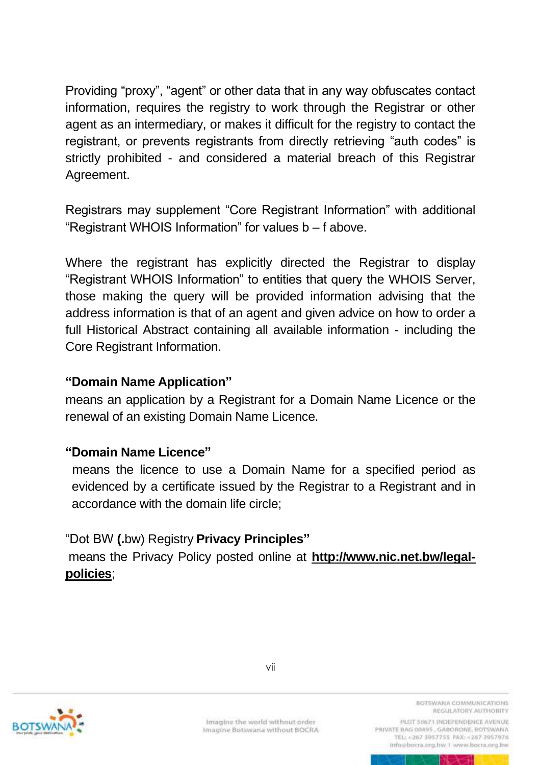Providing "proxy", "agent" or other data that in any way obfuscates contact information, requires the registry to work through the Registrar or other agent as an intermediary, or makes it difficult for the registry to contact the registrant, or prevents registrants from directly retrieving "auth codes" is strictly prohibited - and considered a material breach of this Registrar Agreement.

Registrars may supplement "Core Registrant Information" with additional "Registrant WHOIS Information" for values b – f above.

Where the registrant has explicitly directed the Registrar to display "Registrant WHOIS Information" to entities that query the WHOIS Server, those making the query will be provided information advising that the address information is that of an agent and given advice on how to order a full Historical Abstract containing all available information - including the Core Registrant Information.

#### **"Domain Name Application"**

means an application by a Registrant for a Domain Name Licence or the renewal of an existing Domain Name Licence.

### **"Domain Name Licence"**

means the licence to use a Domain Name for a specified period as evidenced by a certificate issued by the Registrar to a Registrant and in accordance with the domain life circle;

### "Dot BW **(.**bw) Registry **Privacy Principles"**

means the Privacy Policy posted online at **[http://www.nic.net.bw/legal](http://www.nic.net.bw/legal-policies)[policies](http://www.nic.net.bw/legal-policies)**;



Imagine the world without order Imagine Botswana without BOCRA BOTSWANA COMMUNICATIONS REGULATORY AUTHORITY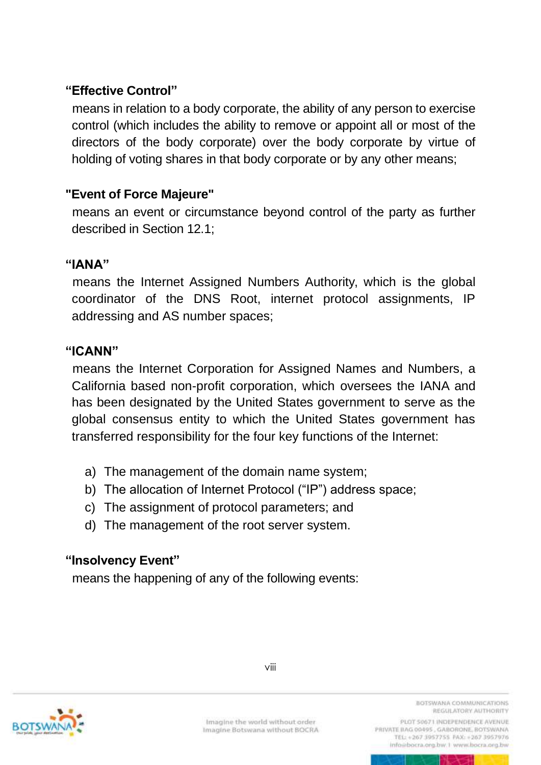## **"Effective Control"**

means in relation to a body corporate, the ability of any person to exercise control (which includes the ability to remove or appoint all or most of the directors of the body corporate) over the body corporate by virtue of holding of voting shares in that body corporate or by any other means;

#### **"Event of Force Majeure"**

means an event or circumstance beyond control of the party as further described in Section 12.1;

#### **"IANA"**

means the Internet Assigned Numbers Authority, which is the global coordinator of the DNS Root, internet protocol assignments, IP addressing and AS number spaces;

#### **"ICANN"**

means the Internet Corporation for Assigned Names and Numbers, a California based non-profit corporation, which oversees the IANA and has been designated by the United States government to serve as the global consensus entity to which the United States government has transferred responsibility for the four key functions of the Internet:

- a) The management of the domain name system;
- b) The allocation of Internet Protocol ("IP") address space;
- c) The assignment of protocol parameters; and
- d) The management of the root server system.

#### **"Insolvency Event"**

means the happening of any of the following events:



Imagine the world without order Imagine Botswana without BOCRA BOTSWANA COMMUNICATIONS REGULATORY AUTHORITY

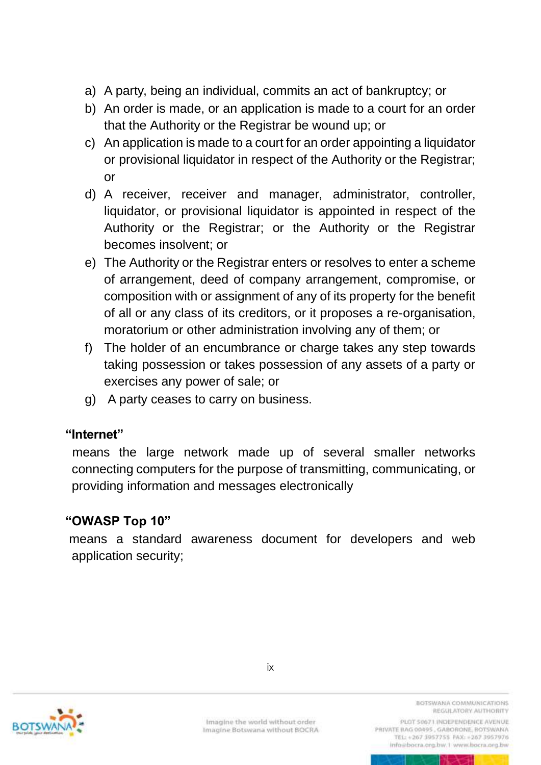- a) A party, being an individual, commits an act of bankruptcy; or
- b) An order is made, or an application is made to a court for an order that the Authority or the Registrar be wound up; or
- c) An application is made to a court for an order appointing a liquidator or provisional liquidator in respect of the Authority or the Registrar; or
- d) A receiver, receiver and manager, administrator, controller, liquidator, or provisional liquidator is appointed in respect of the Authority or the Registrar; or the Authority or the Registrar becomes insolvent; or
- e) The Authority or the Registrar enters or resolves to enter a scheme of arrangement, deed of company arrangement, compromise, or composition with or assignment of any of its property for the benefit of all or any class of its creditors, or it proposes a re-organisation, moratorium or other administration involving any of them; or
- f) The holder of an encumbrance or charge takes any step towards taking possession or takes possession of any assets of a party or exercises any power of sale; or
- g) A party ceases to carry on business.

#### **"Internet"**

means the large network made up of several smaller networks connecting computers for the purpose of transmitting, communicating, or providing information and messages electronically

### **"OWASP Top 10"**

means a standard awareness document for developers and web application security;



PLOT 50671 INDEPENDENCE AVENUE

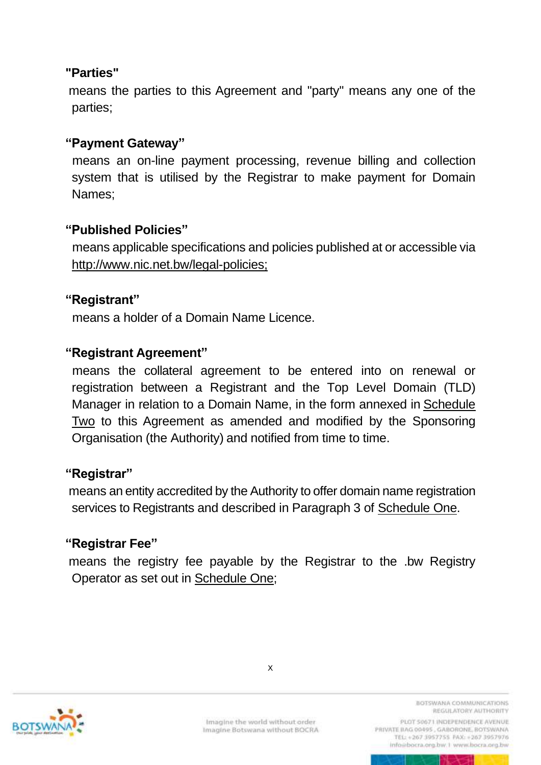### **"Parties"**

means the parties to this Agreement and "party" means any one of the parties;

#### **"Payment Gateway"**

means an on-line payment processing, revenue billing and collection system that is utilised by the Registrar to make payment for Domain Names;

#### **"Published Policies"**

 means applicable specifications and policies published at or accessible via http://www.nic.net.bw/legal-policies;

#### **"Registrant"**

means a holder of a Domain Name Licence.

#### **"Registrant Agreement"**

means the collateral agreement to be entered into on renewal or registration between a Registrant and the Top Level Domain (TLD) Manager in relation to a Domain Name, in the form annexed in [Schedule](#page-49-1) [Two](#page-49-1) to this Agreement as amended and modified by the Sponsoring Organisation (the Authority) and notified from time to time.

#### **"Registrar"**

means an entity accredited by the Authority to offer domain name registration services to Registrants and described in Paragraph 3 of Schedule One.

#### **"Registrar Fee"**

means the registry fee payable by the Registrar to the .bw Registry Operator as set out in Schedule One;



x

BOTSWANA COMMUNICATIONS REGULATORY AUTHORITY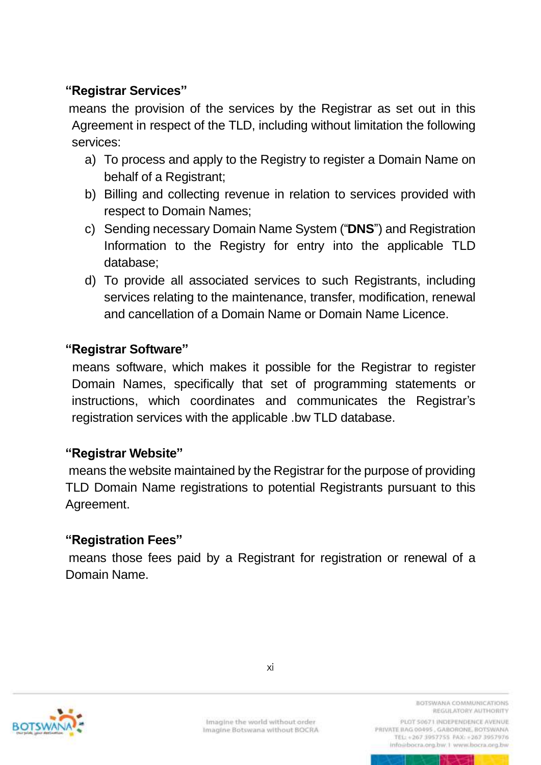## **"Registrar Services"**

means the provision of the services by the Registrar as set out in this Agreement in respect of the TLD, including without limitation the following services:

- a) To process and apply to the Registry to register a Domain Name on behalf of a Registrant;
- b) Billing and collecting revenue in relation to services provided with respect to Domain Names;
- c) Sending necessary Domain Name System ("**DNS**") and Registration Information to the Registry for entry into the applicable TLD database;
- d) To provide all associated services to such Registrants, including services relating to the maintenance, transfer, modification, renewal and cancellation of a Domain Name or Domain Name Licence.

### **"Registrar Software"**

means software, which makes it possible for the Registrar to register Domain Names, specifically that set of programming statements or instructions, which coordinates and communicates the Registrar's registration services with the applicable .bw TLD database.

#### **"Registrar Website"**

means the website maintained by the Registrar for the purpose of providing TLD Domain Name registrations to potential Registrants pursuant to this Agreement.

#### **"Registration Fees"**

means those fees paid by a Registrant for registration or renewal of a Domain Name.



BOTSWANA COMMUNICATIONS REGULATORY AUTHORITY

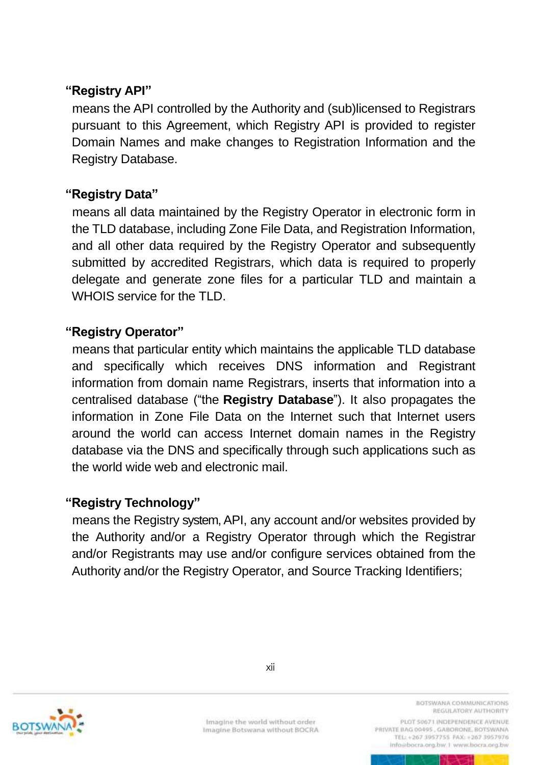## **"Registry API"**

means the API controlled by the Authority and (sub)licensed to Registrars pursuant to this Agreement, which Registry API is provided to register Domain Names and make changes to Registration Information and the Registry Database.

### **"Registry Data"**

means all data maintained by the Registry Operator in electronic form in the TLD database, including Zone File Data, and Registration Information, and all other data required by the Registry Operator and subsequently submitted by accredited Registrars, which data is required to properly delegate and generate zone files for a particular TLD and maintain a WHOIS service for the TLD.

#### **"Registry Operator"**

means that particular entity which maintains the applicable TLD database and specifically which receives DNS information and Registrant information from domain name Registrars, inserts that information into a centralised database ("the **Registry Database**"). It also propagates the information in Zone File Data on the Internet such that Internet users around the world can access Internet domain names in the Registry database via the DNS and specifically through such applications such as the world wide web and electronic mail.

### **"Registry Technology"**

means the Registry system, API, any account and/or websites provided by the Authority and/or a Registry Operator through which the Registrar and/or Registrants may use and/or configure services obtained from the Authority and/or the Registry Operator, and Source Tracking Identifiers;



Imagine the world without order Imagine Botswana without BOCRA BOTSWANA COMMUNICATIONS REGULATORY AUTHORITY

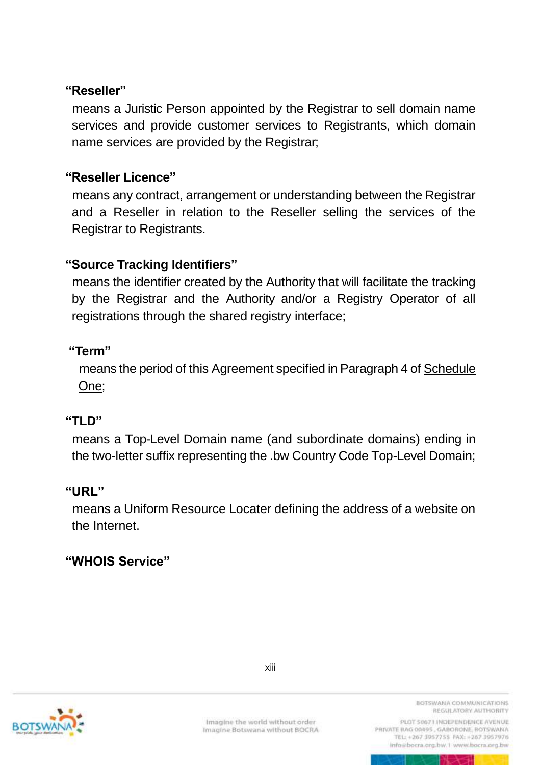### **"Reseller"**

means a Juristic Person appointed by the Registrar to sell domain name services and provide customer services to Registrants, which domain name services are provided by the Registrar;

## **"Reseller Licence"**

means any contract, arrangement or understanding between the Registrar and a Reseller in relation to the Reseller selling the services of the Registrar to Registrants.

## **"Source Tracking Identifiers"**

means the identifier created by the Authority that will facilitate the tracking by the Registrar and the Authority and/or a Registry Operator of all registrations through the shared registry interface;

### **"Term"**

 means the period of this Agreement specified in Paragraph 4 of Schedule One;

### **"TLD"**

means a Top-Level Domain name (and subordinate domains) ending in the two-letter suffix representing the .bw Country Code Top-Level Domain;

### **"URL"**

means a Uniform Resource Locater defining the address of a website on the Internet.

### **"WHOIS Service"**



BOTSWANA COMMUNICATIONS REGULATORY AUTHORITY

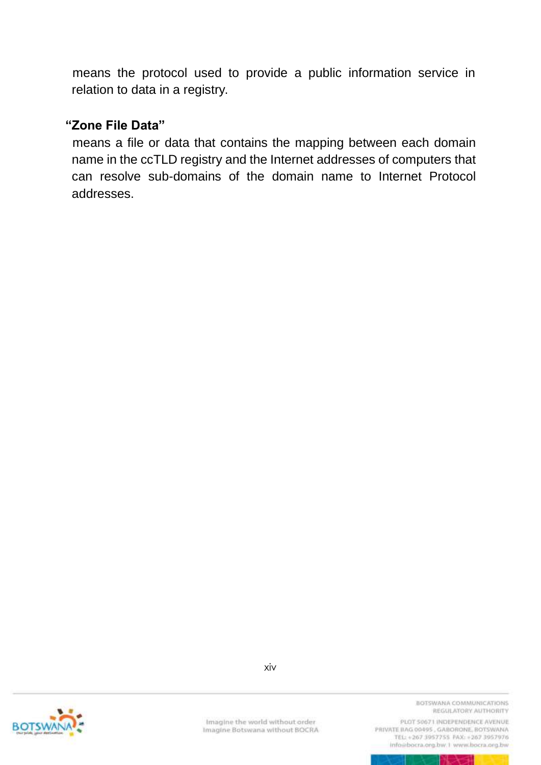means the protocol used to provide a public information service in relation to data in a registry.

#### **"Zone File Data"**

means a file or data that contains the mapping between each domain name in the ccTLD registry and the Internet addresses of computers that can resolve sub-domains of the domain name to Internet Protocol addresses.



xiv

Imagine the world without order Imagine Botswana without BOCRA BOTSWANA COMMUNICATIONS REGULATORY AUTHORITY

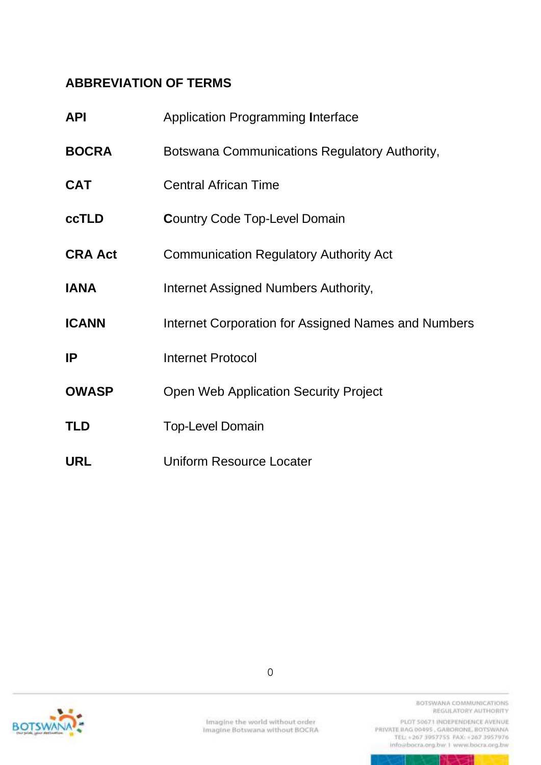## <span id="page-18-0"></span>**ABBREVIATION OF TERMS**

| <b>API</b>     | <b>Application Programming Interface</b>            |
|----------------|-----------------------------------------------------|
| <b>BOCRA</b>   | Botswana Communications Regulatory Authority,       |
| <b>CAT</b>     | <b>Central African Time</b>                         |
| <b>ccTLD</b>   | <b>Country Code Top-Level Domain</b>                |
| <b>CRA Act</b> | <b>Communication Regulatory Authority Act</b>       |
| <b>IANA</b>    | Internet Assigned Numbers Authority,                |
| <b>ICANN</b>   | Internet Corporation for Assigned Names and Numbers |
| IP             | <b>Internet Protocol</b>                            |
| <b>OWASP</b>   | <b>Open Web Application Security Project</b>        |
| <b>TLD</b>     | <b>Top-Level Domain</b>                             |
| <b>URL</b>     | <b>Uniform Resource Locater</b>                     |



BOTSWANA COMMUNICATIONS REGULATORY AUTHORITY

PLOT 50671 INDEPENDENCE AVENUE info@bocra.org.bw.1 www.bocra.org.bw

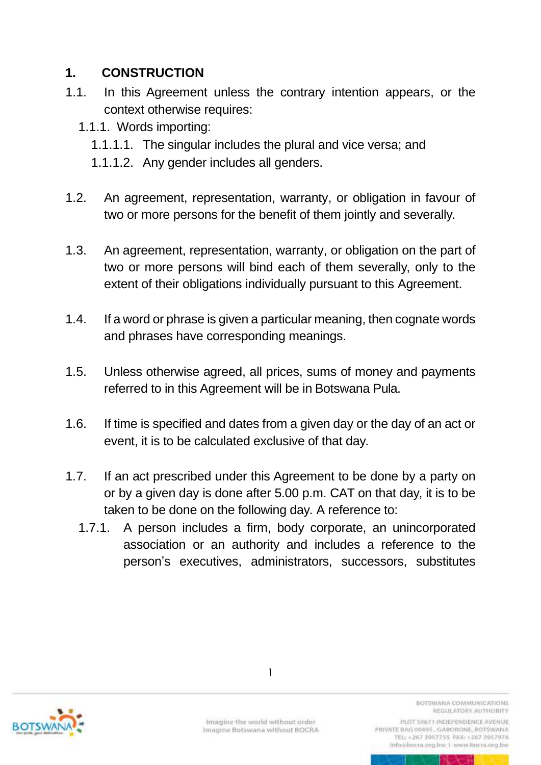## <span id="page-19-0"></span>**1. CONSTRUCTION**

- 1.1. In this Agreement unless the contrary intention appears, or the context otherwise requires:
	- 1.1.1. Words importing:
		- 1.1.1.1. The singular includes the plural and vice versa; and
		- 1.1.1.2. Any gender includes all genders.
- 1.2. An agreement, representation, warranty, or obligation in favour of two or more persons for the benefit of them jointly and severally.
- 1.3. An agreement, representation, warranty, or obligation on the part of two or more persons will bind each of them severally, only to the extent of their obligations individually pursuant to this Agreement.
- 1.4. If a word or phrase is given a particular meaning, then cognate words and phrases have corresponding meanings.
- 1.5. Unless otherwise agreed, all prices, sums of money and payments referred to in this Agreement will be in Botswana Pula.
- 1.6. If time is specified and dates from a given day or the day of an act or event, it is to be calculated exclusive of that day.
- 1.7. If an act prescribed under this Agreement to be done by a party on or by a given day is done after 5.00 p.m. CAT on that day, it is to be taken to be done on the following day. A reference to:
	- 1.7.1. A person includes a firm, body corporate, an unincorporated association or an authority and includes a reference to the person's executives, administrators, successors, substitutes



1

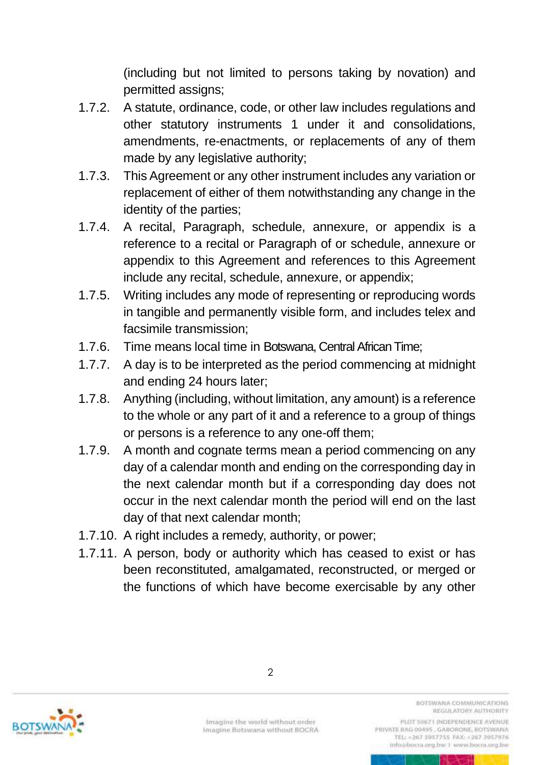(including but not limited to persons taking by novation) and permitted assigns;

- 1.7.2. A statute, ordinance, code, or other law includes regulations and other statutory instruments 1 under it and consolidations, amendments, re-enactments, or replacements of any of them made by any legislative authority;
- 1.7.3. This Agreement or any other instrument includes any variation or replacement of either of them notwithstanding any change in the identity of the parties;
- 1.7.4. A recital, Paragraph, schedule, annexure, or appendix is a reference to a recital or Paragraph of or schedule, annexure or appendix to this Agreement and references to this Agreement include any recital, schedule, annexure, or appendix;
- 1.7.5. Writing includes any mode of representing or reproducing words in tangible and permanently visible form, and includes telex and facsimile transmission;
- 1.7.6. Time means local time in Botswana, Central African Time;
- 1.7.7. A day is to be interpreted as the period commencing at midnight and ending 24 hours later;
- 1.7.8. Anything (including, without limitation, any amount) is a reference to the whole or any part of it and a reference to a group of things or persons is a reference to any one-off them;
- 1.7.9. A month and cognate terms mean a period commencing on any day of a calendar month and ending on the corresponding day in the next calendar month but if a corresponding day does not occur in the next calendar month the period will end on the last day of that next calendar month;
- 1.7.10. A right includes a remedy, authority, or power;
- 1.7.11. A person, body or authority which has ceased to exist or has been reconstituted, amalgamated, reconstructed, or merged or the functions of which have become exercisable by any other



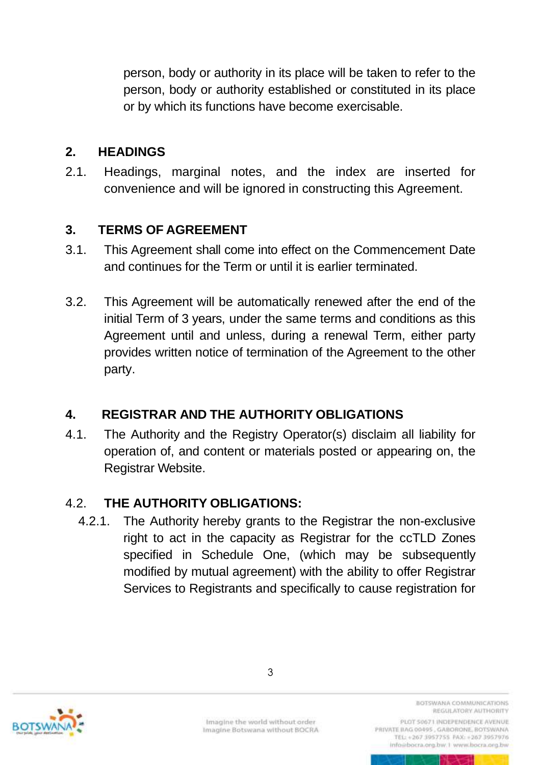person, body or authority in its place will be taken to refer to the person, body or authority established or constituted in its place or by which its functions have become exercisable.

## <span id="page-21-0"></span>**2. HEADINGS**

2.1. Headings, marginal notes, and the index are inserted for convenience and will be ignored in constructing this Agreement.

## <span id="page-21-1"></span>**3. TERMS OF AGREEMENT**

- 3.1. This Agreement shall come into effect on the Commencement Date and continues for the Term or until it is earlier terminated.
- 3.2. This Agreement will be automatically renewed after the end of the initial Term of 3 years, under the same terms and conditions as this Agreement until and unless, during a renewal Term, either party provides written notice of termination of the Agreement to the other party.

## <span id="page-21-2"></span>**4. REGISTRAR AND THE AUTHORITY OBLIGATIONS**

4.1. The Authority and the Registry Operator(s) disclaim all liability for operation of, and content or materials posted or appearing on, the Registrar Website.

## 4.2. **THE AUTHORITY OBLIGATIONS:**

4.2.1. The Authority hereby grants to the Registrar the non-exclusive right to act in the capacity as Registrar for the ccTLD Zones specified in Schedule One, (which may be subsequently modified by mutual agreement) with the ability to offer Registrar Services to Registrants and specifically to cause registration for



Imagine Botswana without BOCRA

3

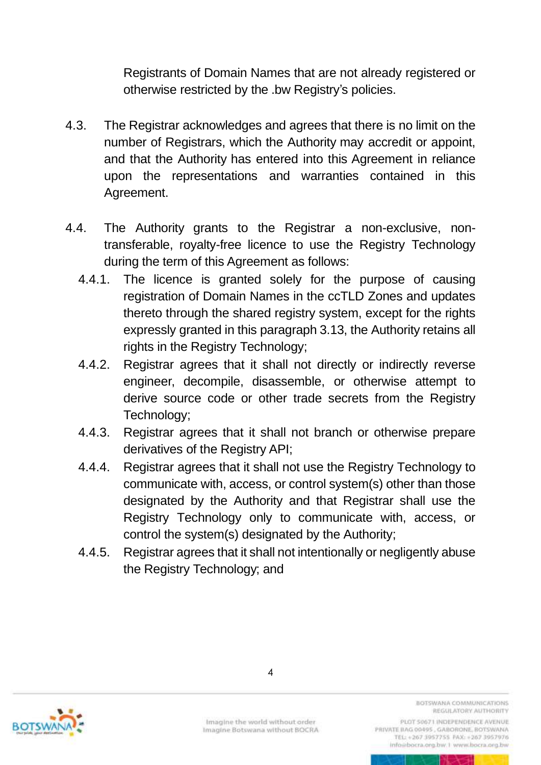Registrants of Domain Names that are not already registered or otherwise restricted by the .bw Registry's policies.

- 4.3. The Registrar acknowledges and agrees that there is no limit on the number of Registrars, which the Authority may accredit or appoint, and that the Authority has entered into this Agreement in reliance upon the representations and warranties contained in this Agreement.
- 4.4. The Authority grants to the Registrar a non-exclusive, nontransferable, royalty-free licence to use the Registry Technology during the term of this Agreement as follows:
	- 4.4.1. The licence is granted solely for the purpose of causing registration of Domain Names in the ccTLD Zones and updates thereto through the shared registry system, except for the rights expressly granted in this paragraph 3.13, the Authority retains all rights in the Registry Technology;
	- 4.4.2. Registrar agrees that it shall not directly or indirectly reverse engineer, decompile, disassemble, or otherwise attempt to derive source code or other trade secrets from the Registry Technology;
	- 4.4.3. Registrar agrees that it shall not branch or otherwise prepare derivatives of the Registry API;
	- 4.4.4. Registrar agrees that it shall not use the Registry Technology to communicate with, access, or control system(s) other than those designated by the Authority and that Registrar shall use the Registry Technology only to communicate with, access, or control the system(s) designated by the Authority;
	- 4.4.5. Registrar agrees that it shall not intentionally or negligently abuse the Registry Technology; and



4

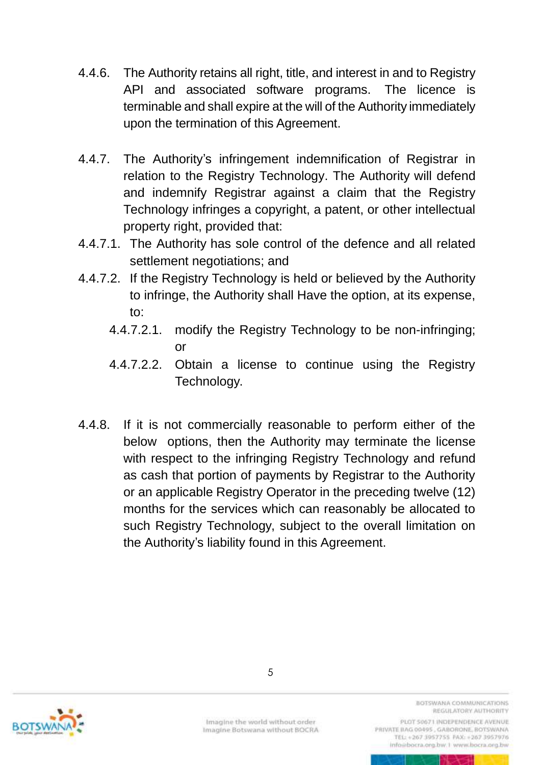- 4.4.6. The Authority retains all right, title, and interest in and to Registry API and associated software programs. The licence is terminable and shall expire at the will of the Authority immediately upon the termination of this Agreement.
- 4.4.7. The Authority's infringement indemnification of Registrar in relation to the Registry Technology. The Authority will defend and indemnify Registrar against a claim that the Registry Technology infringes a copyright, a patent, or other intellectual property right, provided that:
- 4.4.7.1. The Authority has sole control of the defence and all related settlement negotiations; and
- 4.4.7.2. If the Registry Technology is held or believed by the Authority to infringe, the Authority shall Have the option, at its expense, to:
	- 4.4.7.2.1. modify the Registry Technology to be non-infringing; or
	- 4.4.7.2.2. Obtain a license to continue using the Registry Technology.
- 4.4.8. If it is not commercially reasonable to perform either of the below options, then the Authority may terminate the license with respect to the infringing Registry Technology and refund as cash that portion of payments by Registrar to the Authority or an applicable Registry Operator in the preceding twelve (12) months for the services which can reasonably be allocated to such Registry Technology, subject to the overall limitation on the Authority's liability found in this Agreement.



BOTSWANA COMMUNICATIONS REGULATORY AUTHORITY

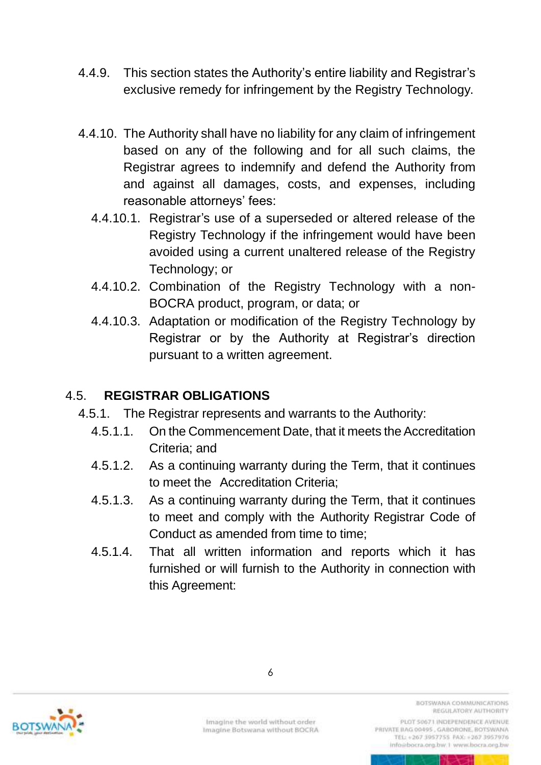- 4.4.9. This section states the Authority's entire liability and Registrar's exclusive remedy for infringement by the Registry Technology.
- 4.4.10. The Authority shall have no liability for any claim of infringement based on any of the following and for all such claims, the Registrar agrees to indemnify and defend the Authority from and against all damages, costs, and expenses, including reasonable attorneys' fees:
	- 4.4.10.1. Registrar's use of a superseded or altered release of the Registry Technology if the infringement would have been avoided using a current unaltered release of the Registry Technology; or
	- 4.4.10.2. Combination of the Registry Technology with a non-BOCRA product, program, or data; or
	- 4.4.10.3. Adaptation or modification of the Registry Technology by Registrar or by the Authority at Registrar's direction pursuant to a written agreement.

## 4.5. **REGISTRAR OBLIGATIONS**

- 4.5.1. The Registrar represents and warrants to the Authority:
	- 4.5.1.1. On the Commencement Date, that it meets the Accreditation Criteria; and
	- 4.5.1.2. As a continuing warranty during the Term, that it continues to meet the Accreditation Criteria;
	- 4.5.1.3. As a continuing warranty during the Term, that it continues to meet and comply with the Authority Registrar Code of Conduct as amended from time to time:
	- 4.5.1.4. That all written information and reports which it has furnished or will furnish to the Authority in connection with this Agreement:



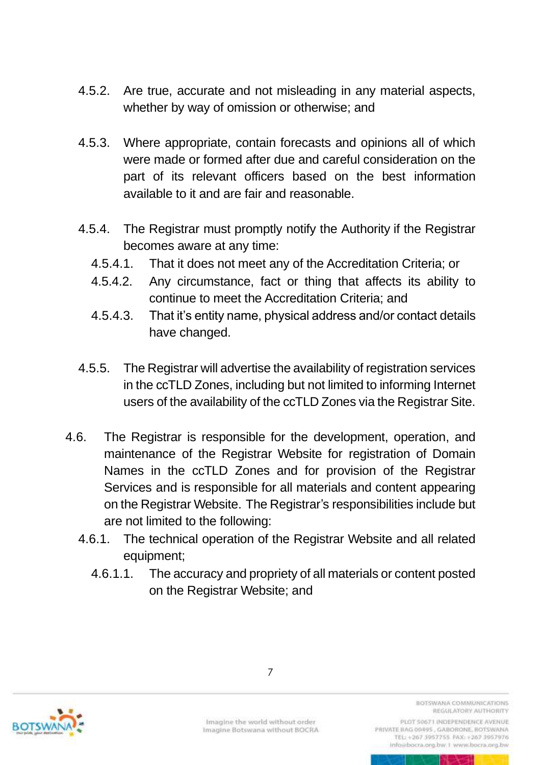- 4.5.2. Are true, accurate and not misleading in any material aspects, whether by way of omission or otherwise; and
- 4.5.3. Where appropriate, contain forecasts and opinions all of which were made or formed after due and careful consideration on the part of its relevant officers based on the best information available to it and are fair and reasonable.
- 4.5.4. The Registrar must promptly notify the Authority if the Registrar becomes aware at any time:
	- 4.5.4.1. That it does not meet any of the Accreditation Criteria; or
	- 4.5.4.2. Any circumstance, fact or thing that affects its ability to continue to meet the Accreditation Criteria; and
	- 4.5.4.3. That it's entity name, physical address and/or contact details have changed.
- 4.5.5. The Registrar will advertise the availability of registration services in the ccTLD Zones, including but not limited to informing Internet users of the availability of the ccTLD Zones via the Registrar Site.
- 4.6. The Registrar is responsible for the development, operation, and maintenance of the Registrar Website for registration of Domain Names in the ccTLD Zones and for provision of the Registrar Services and is responsible for all materials and content appearing on the Registrar Website. The Registrar's responsibilities include but are not limited to the following:
	- 4.6.1. The technical operation of the Registrar Website and all related equipment;
		- 4.6.1.1. The accuracy and propriety of all materials or content posted on the Registrar Website; and



Imagine the world without order Imagine Botswana without BOCRA

7

BOTSWANA COMMUNICATIONS REGULATORY AUTHORITY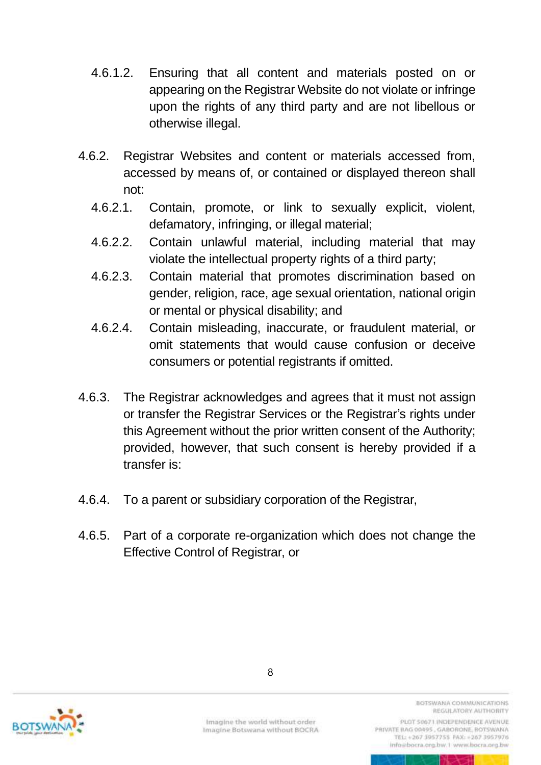- 4.6.1.2. Ensuring that all content and materials posted on or appearing on the Registrar Website do not violate or infringe upon the rights of any third party and are not libellous or otherwise illegal.
- 4.6.2. Registrar Websites and content or materials accessed from, accessed by means of, or contained or displayed thereon shall not:
	- 4.6.2.1. Contain, promote, or link to sexually explicit, violent, defamatory, infringing, or illegal material;
	- 4.6.2.2. Contain unlawful material, including material that may violate the intellectual property rights of a third party;
	- 4.6.2.3. Contain material that promotes discrimination based on gender, religion, race, age sexual orientation, national origin or mental or physical disability; and
	- 4.6.2.4. Contain misleading, inaccurate, or fraudulent material, or omit statements that would cause confusion or deceive consumers or potential registrants if omitted.
- 4.6.3. The Registrar acknowledges and agrees that it must not assign or transfer the Registrar Services or the Registrar's rights under this Agreement without the prior written consent of the Authority; provided, however, that such consent is hereby provided if a transfer is:
- 4.6.4. To a parent or subsidiary corporation of the Registrar,
- 4.6.5. Part of a corporate re-organization which does not change the Effective Control of Registrar, or



Imagine the world without order Imagine Botswana without BOCRA

8

BOTSWANA COMMUNICATIONS REGULATORY AUTHORITY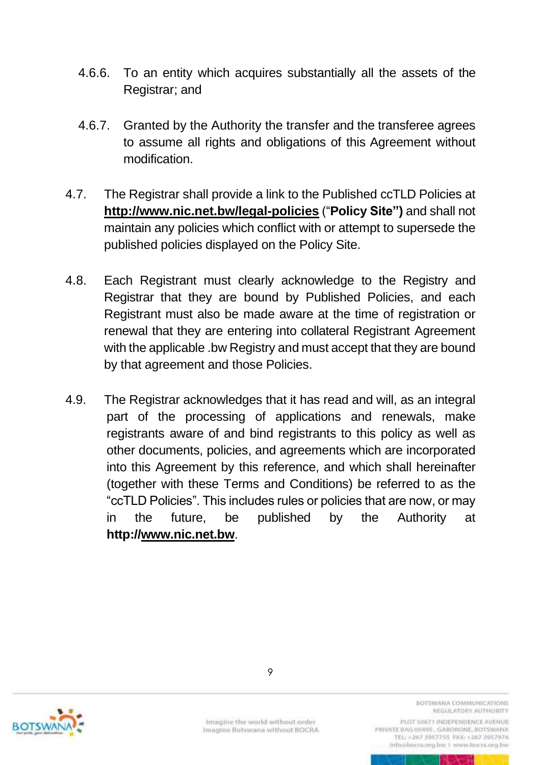- 4.6.6. To an entity which acquires substantially all the assets of the Registrar; and
- 4.6.7. Granted by the Authority the transfer and the transferee agrees to assume all rights and obligations of this Agreement without modification.
- 4.7. The Registrar shall provide a link to the Published ccTLD Policies at **[http://www.](http://www/)nic.net.bw/legal-policies** ("**Policy Site")** and shall not maintain any policies which conflict with or attempt to supersede the published policies displayed on the Policy Site.
- 4.8. Each Registrant must clearly acknowledge to the Registry and Registrar that they are bound by Published Policies, and each Registrant must also be made aware at the time of registration or renewal that they are entering into collateral Registrant Agreement with the applicable .bw Registry and must accept that they are bound by that agreement and those Policies.
- 4.9. The Registrar acknowledges that it has read and will, as an integral part of the processing of applications and renewals, make registrants aware of and bind registrants to this policy as well as other documents, policies, and agreements which are incorporated into this Agreement by this reference, and which shall hereinafter (together with these Terms and Conditions) be referred to as the "ccTLD Policies". This includes rules or policies that are now, or may in the future, be published by the Authority at **http://www.nic.net.bw**.



BOTSWANA COMMUNICATIONS REGULATORY AUTHORITY

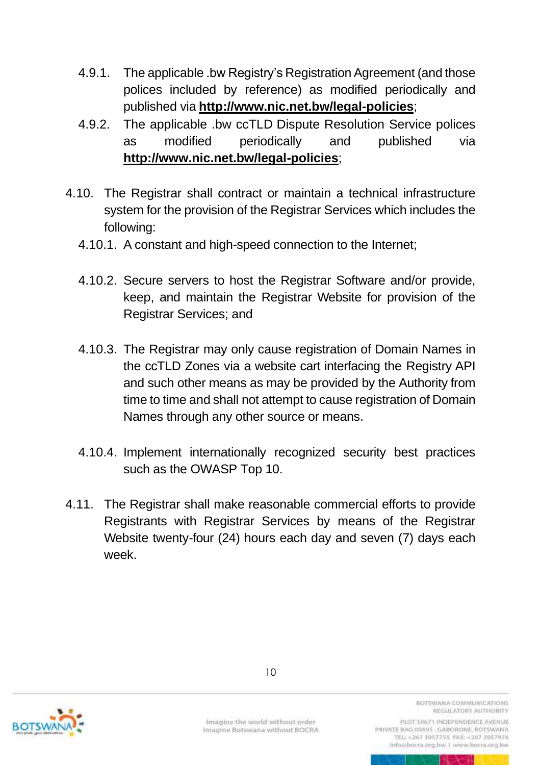- 4.9.1. The applicable .bw Registry's Registration Agreement (and those polices included by reference) as modified periodically and published via **<http://www.nic.net.bw/legal-policies>**;
- 4.9.2. The applicable .bw ccTLD Dispute Resolution Service polices as modified periodically and published via **<http://www.nic.net.bw/legal-policies>**;
- 4.10. The Registrar shall contract or maintain a technical infrastructure system for the provision of the Registrar Services which includes the following:
	- 4.10.1. A constant and high-speed connection to the Internet;
	- 4.10.2. Secure servers to host the Registrar Software and/or provide, keep, and maintain the Registrar Website for provision of the Registrar Services; and
	- 4.10.3. The Registrar may only cause registration of Domain Names in the ccTLD Zones via a website cart interfacing the Registry API and such other means as may be provided by the Authority from time to time and shall not attempt to cause registration of Domain Names through any other source or means.
	- 4.10.4. Implement internationally recognized security best practices such as the OWASP Top 10.
- 4.11. The Registrar shall make reasonable commercial efforts to provide Registrants with Registrar Services by means of the Registrar Website twenty-four (24) hours each day and seven (7) days each week.



Imagine the world without order Imagine Botswana without BOCRA BOTSWANA COMMUNICATIONS REGULATORY AUTHORITY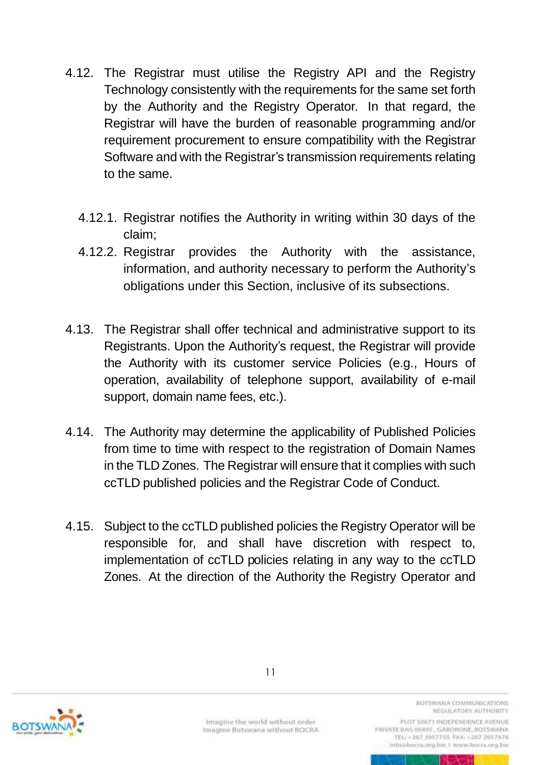- 4.12. The Registrar must utilise the Registry API and the Registry Technology consistently with the requirements for the same set forth by the Authority and the Registry Operator. In that regard, the Registrar will have the burden of reasonable programming and/or requirement procurement to ensure compatibility with the Registrar Software and with the Registrar's transmission requirements relating to the same.
	- 4.12.1. Registrar notifies the Authority in writing within 30 days of the claim;
	- 4.12.2. Registrar provides the Authority with the assistance, information, and authority necessary to perform the Authority's obligations under this Section, inclusive of its subsections.
- 4.13. The Registrar shall offer technical and administrative support to its Registrants. Upon the Authority's request, the Registrar will provide the Authority with its customer service Policies (e.g., Hours of operation, availability of telephone support, availability of e-mail support, domain name fees, etc.).
- 4.14. The Authority may determine the applicability of Published Policies from time to time with respect to the registration of Domain Names in the TLD Zones. The Registrar will ensure that it complies with such ccTLD published policies and the Registrar Code of Conduct.
- 4.15. Subject to the ccTLD published policies the Registry Operator will be responsible for, and shall have discretion with respect to, implementation of ccTLD policies relating in any way to the ccTLD Zones. At the direction of the Authority the Registry Operator and



Imagine the world without order Imagine Botswana without BOCRA BOTSWANA COMMUNICATIONS REGULATORY AUTHORITY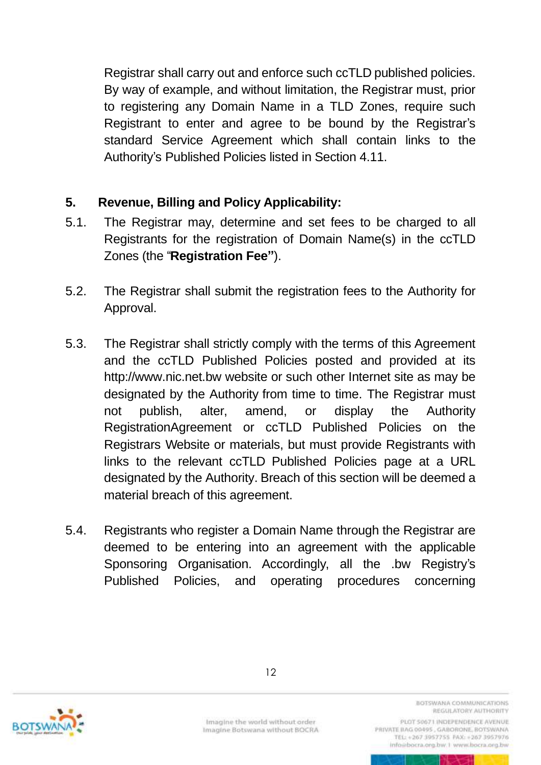Registrar shall carry out and enforce such ccTLD published policies. By way of example, and without limitation, the Registrar must, prior to registering any Domain Name in a TLD Zones, require such Registrant to enter and agree to be bound by the Registrar's standard Service Agreement which shall contain links to the Authority's Published Policies listed in Section 4.11.

### <span id="page-30-0"></span>**5. Revenue, Billing and Policy Applicability:**

- 5.1. The Registrar may, determine and set fees to be charged to all Registrants for the registration of Domain Name(s) in the ccTLD Zones (the "**Registration Fee"**).
- 5.2. The Registrar shall submit the registration fees to the Authority for Approval.
- 5.3. The Registrar shall strictly comply with the terms of this Agreement and the ccTLD Published Policies posted and provided at its http://www.nic.net.bw website or such other Internet site as may be designated by the Authority from time to time. The Registrar must not publish, alter, amend, or display the Authority RegistrationAgreement or ccTLD Published Policies on the Registrars Website or materials, but must provide Registrants with links to the relevant ccTLD Published Policies page at a URL designated by the Authority. Breach of this section will be deemed a material breach of this agreement.
- 5.4. Registrants who register a Domain Name through the Registrar are deemed to be entering into an agreement with the applicable Sponsoring Organisation. Accordingly, all the .bw Registry's Published Policies, and operating procedures concerning



Imagine the world without order Imagine Botswana without BOCRA BOTSWANA COMMUNICATIONS REGULATORY AUTHORITY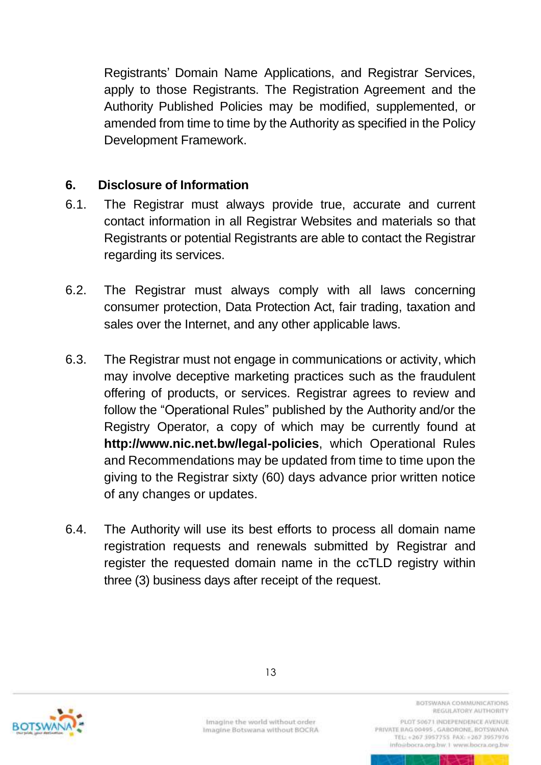Registrants' Domain Name Applications, and Registrar Services, apply to those Registrants. The Registration Agreement and the Authority Published Policies may be modified, supplemented, or amended from time to time by the Authority as specified in the Policy Development Framework.

#### <span id="page-31-0"></span>**6. Disclosure of Information**

- 6.1. The Registrar must always provide true, accurate and current contact information in all Registrar Websites and materials so that Registrants or potential Registrants are able to contact the Registrar regarding its services.
- 6.2. The Registrar must always comply with all laws concerning consumer protection, Data Protection Act, fair trading, taxation and sales over the Internet, and any other applicable laws.
- 6.3. The Registrar must not engage in communications or activity, which may involve deceptive marketing practices such as the fraudulent offering of products, or services. Registrar agrees to review and follow the "Operational Rules" published by the Authority and/or the Registry Operator, a copy of which may be currently found at **http://www.nic.net.bw/legal-policies**, which Operational Rules and Recommendations may be updated from time to time upon the giving to the Registrar sixty (60) days advance prior written notice of any changes or updates.
- 6.4. The Authority will use its best efforts to process all domain name registration requests and renewals submitted by Registrar and register the requested domain name in the ccTLD registry within three (3) business days after receipt of the request.



Imagine the world without order Imagine Botswana without BOCRA

BOTSWANA COMMUNICATIONS REGULATORY AUTHORITY PLOT 50671 INDEPENDENCE AVENUE PRIVATE BAG 00495, GABORONE, BOTSWANA TEL: +267 3957755 FAX: +267 3957976

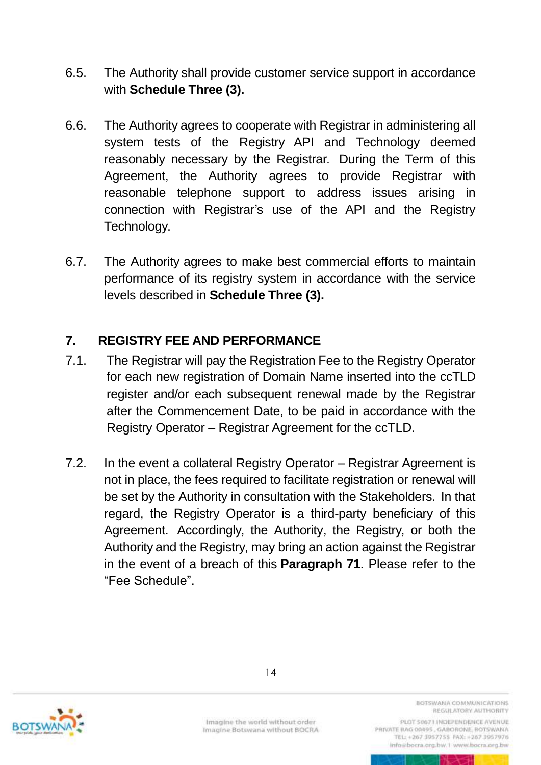- 6.5. The Authority shall provide customer service support in accordance with **Schedule Three (3).**
- 6.6. The Authority agrees to cooperate with Registrar in administering all system tests of the Registry API and Technology deemed reasonably necessary by the Registrar. During the Term of this Agreement, the Authority agrees to provide Registrar with reasonable telephone support to address issues arising in connection with Registrar's use of the API and the Registry Technology.
- 6.7. The Authority agrees to make best commercial efforts to maintain performance of its registry system in accordance with the service levels described in **Schedule Three (3).**

## <span id="page-32-0"></span>**7. REGISTRY FEE AND PERFORMANCE**

- 7.1. The Registrar will pay the Registration Fee to the Registry Operator for each new registration of Domain Name inserted into the ccTLD register and/or each subsequent renewal made by the Registrar after the Commencement Date, to be paid in accordance with the Registry Operator – Registrar Agreement for the ccTLD.
- 7.2. In the event a collateral Registry Operator Registrar Agreement is not in place, the fees required to facilitate registration or renewal will be set by the Authority in consultation with the Stakeholders. In that regard, the Registry Operator is a third-party beneficiary of this Agreement. Accordingly, the Authority, the Registry, or both the Authority and the Registry, may bring an action against the Registrar in the event of a breach of this **Paragraph 71**. Please refer to the "Fee Schedule".



Imagine the world without order Imagine Botswana without BOCRA BOTSWANA COMMUNICATIONS REGULATORY AUTHORITY

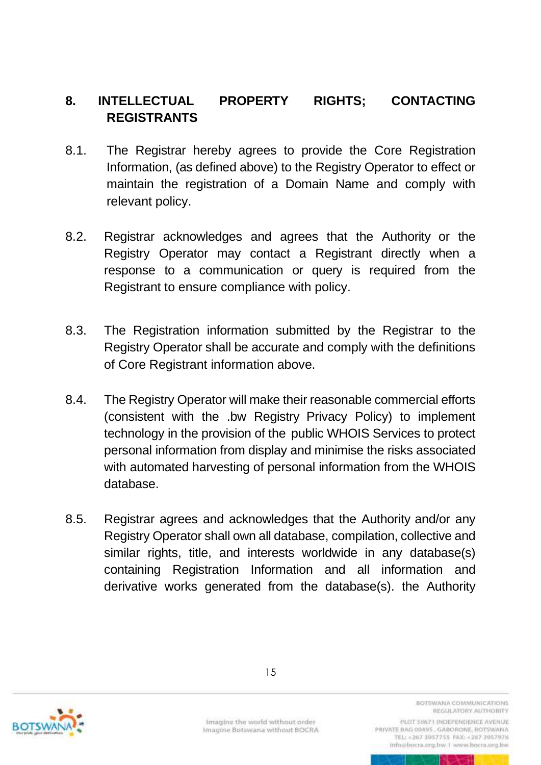## <span id="page-33-0"></span>**8. INTELLECTUAL PROPERTY RIGHTS; CONTACTING REGISTRANTS**

- 8.1. The Registrar hereby agrees to provide the Core Registration Information, (as defined above) to the Registry Operator to effect or maintain the registration of a Domain Name and comply with relevant policy.
- 8.2. Registrar acknowledges and agrees that the Authority or the Registry Operator may contact a Registrant directly when a response to a communication or query is required from the Registrant to ensure compliance with policy.
- 8.3. The Registration information submitted by the Registrar to the Registry Operator shall be accurate and comply with the definitions of Core Registrant information above.
- 8.4. The Registry Operator will make their reasonable commercial efforts (consistent with the .bw Registry Privacy Policy) to implement technology in the provision of the public WHOIS Services to protect personal information from display and minimise the risks associated with automated harvesting of personal information from the WHOIS database.
- 8.5. Registrar agrees and acknowledges that the Authority and/or any Registry Operator shall own all database, compilation, collective and similar rights, title, and interests worldwide in any database(s) containing Registration Information and all information and derivative works generated from the database(s). the Authority



Imagine the world without order Imagine Botswana without BOCRA

BOTSWANA COMMUNICATIONS REGULATORY AUTHORITY PLOT 50671 INDEPENDENCE AVENUE

PRIVATE BAG 00495, GABORONE, BOTSWANA TEL: +267 3957755 FAX: +267 3957976 info@bocra.org.bw.1 www.bocra.org.bw

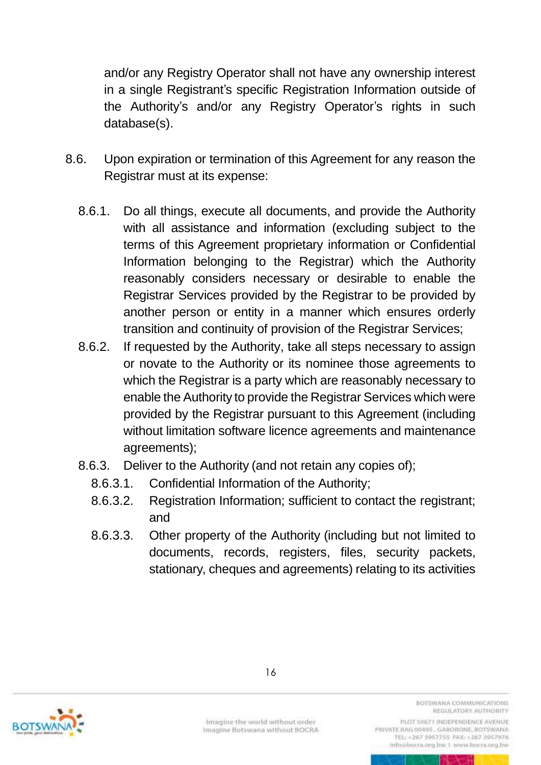and/or any Registry Operator shall not have any ownership interest in a single Registrant's specific Registration Information outside of the Authority's and/or any Registry Operator's rights in such database(s).

- 8.6. Upon expiration or termination of this Agreement for any reason the Registrar must at its expense:
	- 8.6.1. Do all things, execute all documents, and provide the Authority with all assistance and information (excluding subject to the terms of this Agreement proprietary information or Confidential Information belonging to the Registrar) which the Authority reasonably considers necessary or desirable to enable the Registrar Services provided by the Registrar to be provided by another person or entity in a manner which ensures orderly transition and continuity of provision of the Registrar Services;
	- 8.6.2. If requested by the Authority, take all steps necessary to assign or novate to the Authority or its nominee those agreements to which the Registrar is a party which are reasonably necessary to enable the Authority to provide the Registrar Services which were provided by the Registrar pursuant to this Agreement (including without limitation software licence agreements and maintenance agreements);
	- 8.6.3. Deliver to the Authority (and not retain any copies of);
		- 8.6.3.1. Confidential Information of the Authority;
		- 8.6.3.2. Registration Information; sufficient to contact the registrant; and
		- 8.6.3.3. Other property of the Authority (including but not limited to documents, records, registers, files, security packets, stationary, cheques and agreements) relating to its activities



Imagine the world without order Imagine Botswana without BOCRA BOTSWANA COMMUNICATIONS REGULATORY AUTHORITY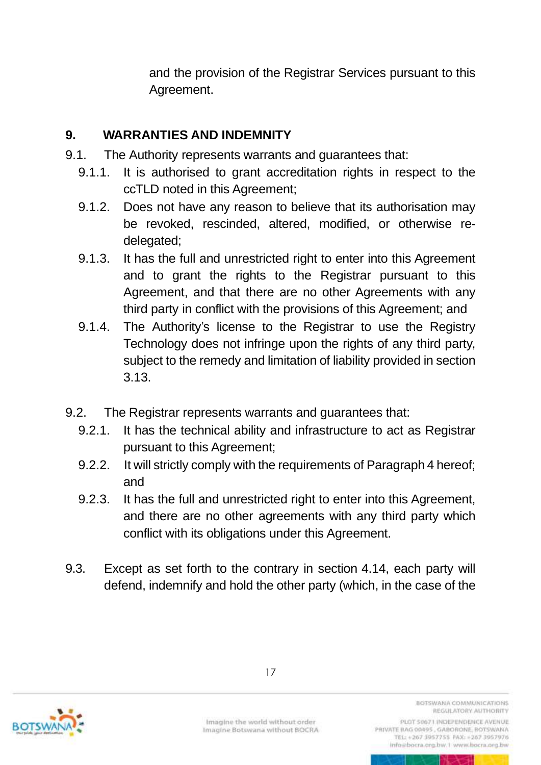and the provision of the Registrar Services pursuant to this Agreement.

## <span id="page-35-0"></span>**9. WARRANTIES AND INDEMNITY**

- 9.1. The Authority represents warrants and guarantees that:
	- 9.1.1. It is authorised to grant accreditation rights in respect to the ccTLD noted in this Agreement;
	- 9.1.2. Does not have any reason to believe that its authorisation may be revoked, rescinded, altered, modified, or otherwise redelegated;
	- 9.1.3. It has the full and unrestricted right to enter into this Agreement and to grant the rights to the Registrar pursuant to this Agreement, and that there are no other Agreements with any third party in conflict with the provisions of this Agreement; and
	- 9.1.4. The Authority's license to the Registrar to use the Registry Technology does not infringe upon the rights of any third party, subject to the remedy and limitation of liability provided in section 3.13.
- 9.2. The Registrar represents warrants and guarantees that:
	- 9.2.1. It has the technical ability and infrastructure to act as Registrar pursuant to this Agreement;
	- 9.2.2. It will strictly comply with the requirements of Paragraph 4 hereof; and
	- 9.2.3. It has the full and unrestricted right to enter into this Agreement, and there are no other agreements with any third party which conflict with its obligations under this Agreement.
- 9.3. Except as set forth to the contrary in section 4.14, each party will defend, indemnify and hold the other party (which, in the case of the



Imagine the world without order Imagine Botswana without BOCRA BOTSWANA COMMUNICATIONS REGULATORY AUTHORITY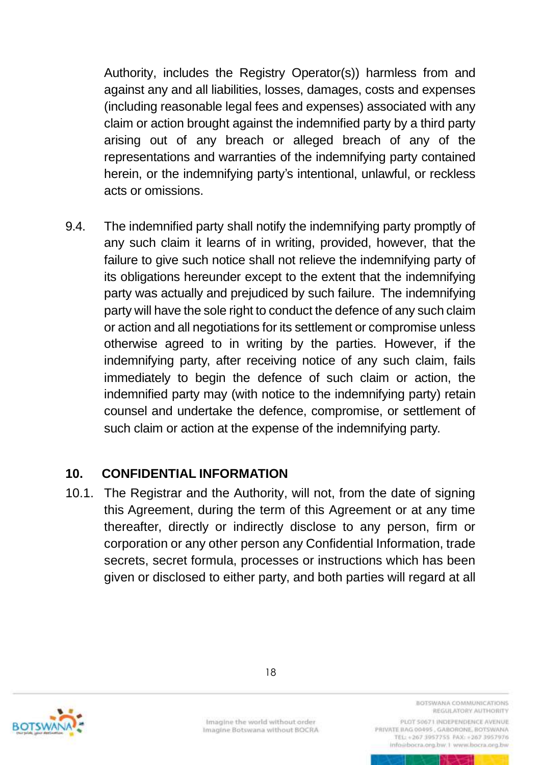Authority, includes the Registry Operator(s)) harmless from and against any and all liabilities, losses, damages, costs and expenses (including reasonable legal fees and expenses) associated with any claim or action brought against the indemnified party by a third party arising out of any breach or alleged breach of any of the representations and warranties of the indemnifying party contained herein, or the indemnifying party's intentional, unlawful, or reckless acts or omissions.

9.4. The indemnified party shall notify the indemnifying party promptly of any such claim it learns of in writing, provided, however, that the failure to give such notice shall not relieve the indemnifying party of its obligations hereunder except to the extent that the indemnifying party was actually and prejudiced by such failure. The indemnifying party will have the sole right to conduct the defence of any such claim or action and all negotiations for its settlement or compromise unless otherwise agreed to in writing by the parties. However, if the indemnifying party, after receiving notice of any such claim, fails immediately to begin the defence of such claim or action, the indemnified party may (with notice to the indemnifying party) retain counsel and undertake the defence, compromise, or settlement of such claim or action at the expense of the indemnifying party.

### <span id="page-36-0"></span>**10. CONFIDENTIAL INFORMATION**

10.1. The Registrar and the Authority, will not, from the date of signing this Agreement, during the term of this Agreement or at any time thereafter, directly or indirectly disclose to any person, firm or corporation or any other person any Confidential Information, trade secrets, secret formula, processes or instructions which has been given or disclosed to either party, and both parties will regard at all



Imagine the world without order Imagine Botswana without BOCRA BOTSWANA COMMUNICATIONS REGULATORY AUTHORITY

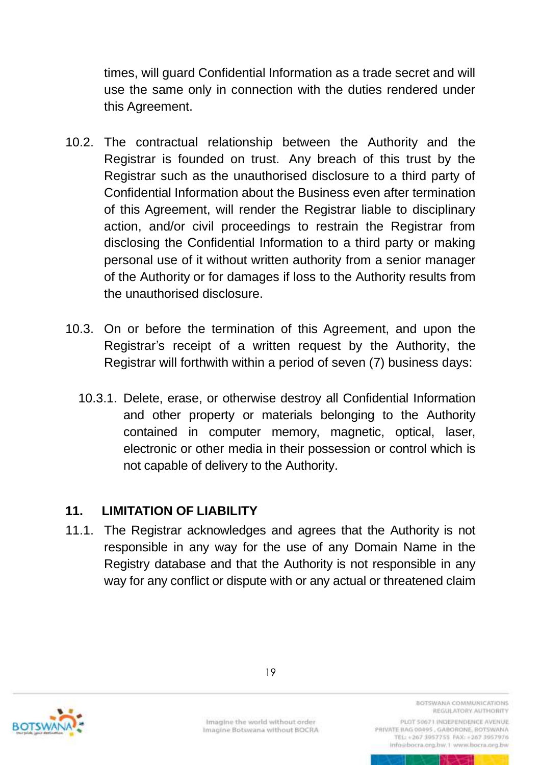times, will guard Confidential Information as a trade secret and will use the same only in connection with the duties rendered under this Agreement.

- 10.2. The contractual relationship between the Authority and the Registrar is founded on trust. Any breach of this trust by the Registrar such as the unauthorised disclosure to a third party of Confidential Information about the Business even after termination of this Agreement, will render the Registrar liable to disciplinary action, and/or civil proceedings to restrain the Registrar from disclosing the Confidential Information to a third party or making personal use of it without written authority from a senior manager of the Authority or for damages if loss to the Authority results from the unauthorised disclosure.
- 10.3. On or before the termination of this Agreement, and upon the Registrar's receipt of a written request by the Authority, the Registrar will forthwith within a period of seven (7) business days:
	- 10.3.1. Delete, erase, or otherwise destroy all Confidential Information and other property or materials belonging to the Authority contained in computer memory, magnetic, optical, laser, electronic or other media in their possession or control which is not capable of delivery to the Authority.

### <span id="page-37-0"></span>**11. LIMITATION OF LIABILITY**

11.1. The Registrar acknowledges and agrees that the Authority is not responsible in any way for the use of any Domain Name in the Registry database and that the Authority is not responsible in any way for any conflict or dispute with or any actual or threatened claim



Imagine the world without order Imagine Botswana without BOCRA BOTSWANA COMMUNICATIONS REGULATORY AUTHORITY

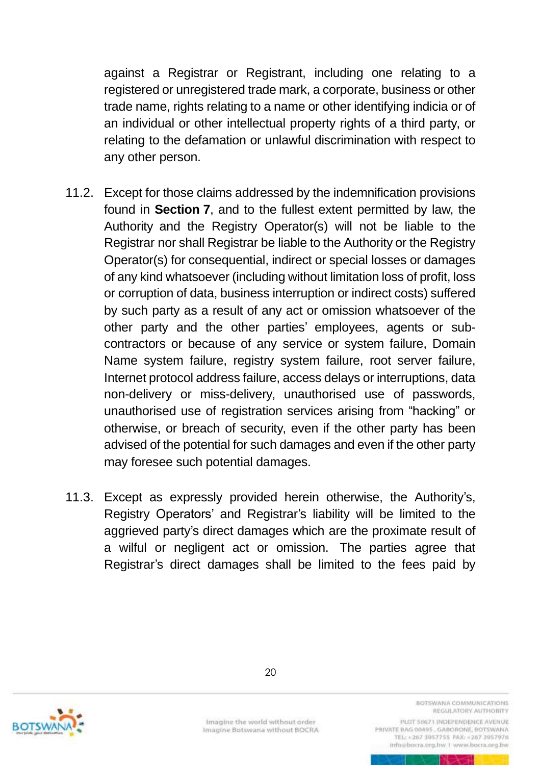against a Registrar or Registrant, including one relating to a registered or unregistered trade mark, a corporate, business or other trade name, rights relating to a name or other identifying indicia or of an individual or other intellectual property rights of a third party, or relating to the defamation or unlawful discrimination with respect to any other person.

- 11.2. Except for those claims addressed by the indemnification provisions found in **Section 7**, and to the fullest extent permitted by law, the Authority and the Registry Operator(s) will not be liable to the Registrar nor shall Registrar be liable to the Authority or the Registry Operator(s) for consequential, indirect or special losses or damages of any kind whatsoever (including without limitation loss of profit, loss or corruption of data, business interruption or indirect costs) suffered by such party as a result of any act or omission whatsoever of the other party and the other parties' employees, agents or subcontractors or because of any service or system failure, Domain Name system failure, registry system failure, root server failure, Internet protocol address failure, access delays or interruptions, data non-delivery or miss-delivery, unauthorised use of passwords, unauthorised use of registration services arising from "hacking" or otherwise, or breach of security, even if the other party has been advised of the potential for such damages and even if the other party may foresee such potential damages.
- 11.3. Except as expressly provided herein otherwise, the Authority's, Registry Operators' and Registrar's liability will be limited to the aggrieved party's direct damages which are the proximate result of a wilful or negligent act or omission. The parties agree that Registrar's direct damages shall be limited to the fees paid by



Imagine the world without order Imagine Botswana without BOCRA BOTSWANA COMMUNICATIONS REGULATORY AUTHORITY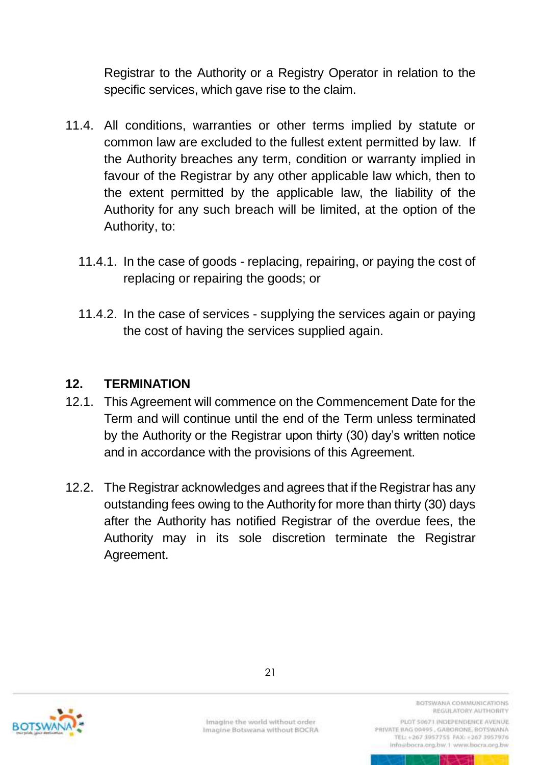Registrar to the Authority or a Registry Operator in relation to the specific services, which gave rise to the claim.

- 11.4. All conditions, warranties or other terms implied by statute or common law are excluded to the fullest extent permitted by law. If the Authority breaches any term, condition or warranty implied in favour of the Registrar by any other applicable law which, then to the extent permitted by the applicable law, the liability of the Authority for any such breach will be limited, at the option of the Authority, to:
	- 11.4.1. In the case of goods replacing, repairing, or paying the cost of replacing or repairing the goods; or
	- 11.4.2. In the case of services supplying the services again or paying the cost of having the services supplied again.

#### **12. TERMINATION**

- 12.1. This Agreement will commence on the Commencement Date for the Term and will continue until the end of the Term unless terminated by the Authority or the Registrar upon thirty (30) day's written notice and in accordance with the provisions of this Agreement.
- 12.2. The Registrar acknowledges and agrees that if the Registrar has any outstanding fees owing to the Authority for more than thirty (30) days after the Authority has notified Registrar of the overdue fees, the Authority may in its sole discretion terminate the Registrar Agreement.



Imagine the world without order Imagine Botswana without BOCRA BOTSWANA COMMUNICATIONS REGULATORY AUTHORITY

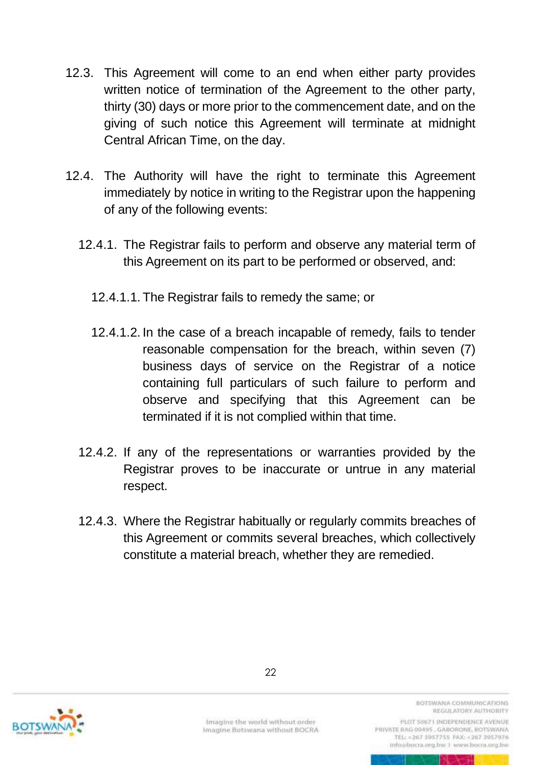- 12.3. This Agreement will come to an end when either party provides written notice of termination of the Agreement to the other party, thirty (30) days or more prior to the commencement date, and on the giving of such notice this Agreement will terminate at midnight Central African Time, on the day.
- 12.4. The Authority will have the right to terminate this Agreement immediately by notice in writing to the Registrar upon the happening of any of the following events:
	- 12.4.1. The Registrar fails to perform and observe any material term of this Agreement on its part to be performed or observed, and:
		- 12.4.1.1. The Registrar fails to remedy the same; or
		- 12.4.1.2. In the case of a breach incapable of remedy, fails to tender reasonable compensation for the breach, within seven (7) business days of service on the Registrar of a notice containing full particulars of such failure to perform and observe and specifying that this Agreement can be terminated if it is not complied within that time.
	- 12.4.2. If any of the representations or warranties provided by the Registrar proves to be inaccurate or untrue in any material respect.
	- 12.4.3. Where the Registrar habitually or regularly commits breaches of this Agreement or commits several breaches, which collectively constitute a material breach, whether they are remedied.



Imagine the world without order Imagine Botswana without BOCRA BOTSWANA COMMUNICATIONS REGULATORY AUTHORITY

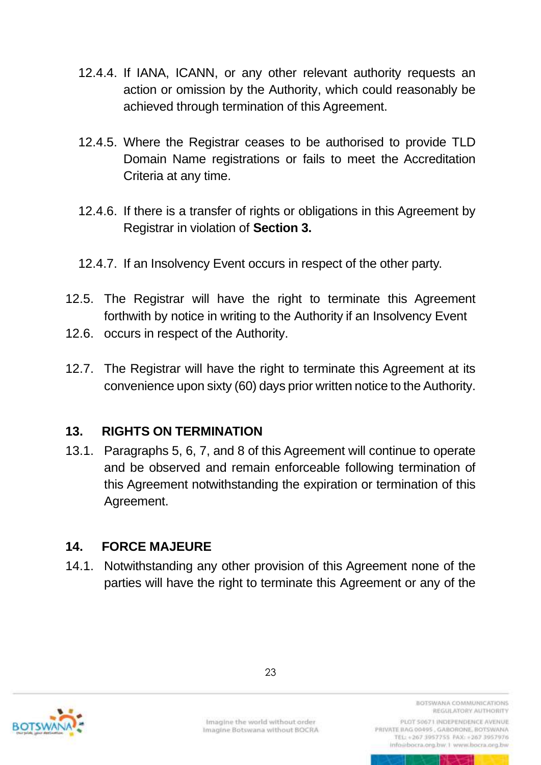- 12.4.4. If IANA, ICANN, or any other relevant authority requests an action or omission by the Authority, which could reasonably be achieved through termination of this Agreement.
- 12.4.5. Where the Registrar ceases to be authorised to provide TLD Domain Name registrations or fails to meet the Accreditation Criteria at any time.
- 12.4.6. If there is a transfer of rights or obligations in this Agreement by Registrar in violation of **Section 3.**
- 12.4.7. If an Insolvency Event occurs in respect of the other party.
- 12.5. The Registrar will have the right to terminate this Agreement forthwith by notice in writing to the Authority if an Insolvency Event
- 12.6. occurs in respect of the Authority.
- 12.7. The Registrar will have the right to terminate this Agreement at its convenience upon sixty (60) days prior written notice to the Authority.

### <span id="page-41-0"></span>**13. RIGHTS ON TERMINATION**

13.1. Paragraphs 5, 6, 7, and 8 of this Agreement will continue to operate and be observed and remain enforceable following termination of this Agreement notwithstanding the expiration or termination of this Agreement.

### <span id="page-41-1"></span>**14. FORCE MAJEURE**

14.1. Notwithstanding any other provision of this Agreement none of the parties will have the right to terminate this Agreement or any of the



Imagine the world without order Imagine Botswana without BOCRA BOTSWANA COMMUNICATIONS REGULATORY AUTHORITY

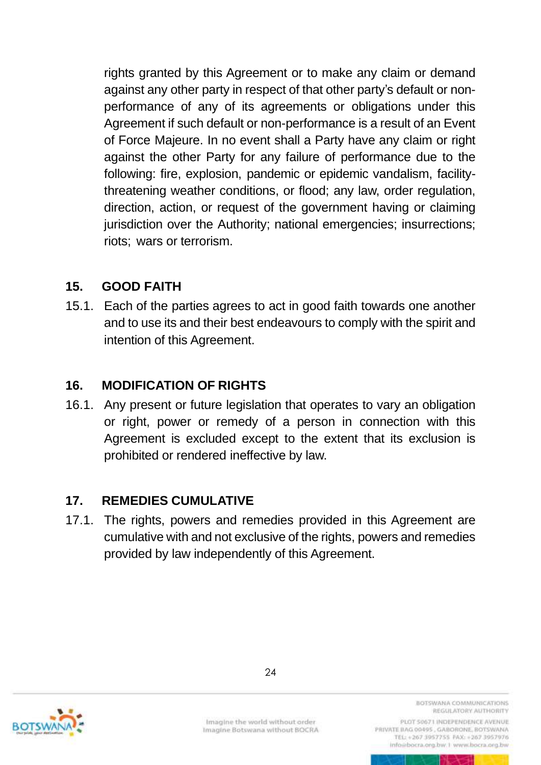rights granted by this Agreement or to make any claim or demand against any other party in respect of that other party's default or nonperformance of any of its agreements or obligations under this Agreement if such default or non-performance is a result of an Event of Force Majeure. In no event shall a Party have any claim or right against the other Party for any failure of performance due to the following: fire, explosion, pandemic or epidemic vandalism, facilitythreatening weather conditions, or flood; any law, order regulation, direction, action, or request of the government having or claiming jurisdiction over the Authority; national emergencies; insurrections; riots; wars or terrorism.

### <span id="page-42-0"></span>**15. GOOD FAITH**

15.1. Each of the parties agrees to act in good faith towards one another and to use its and their best endeavours to comply with the spirit and intention of this Agreement.

### <span id="page-42-1"></span>**16. MODIFICATION OF RIGHTS**

16.1. Any present or future legislation that operates to vary an obligation or right, power or remedy of a person in connection with this Agreement is excluded except to the extent that its exclusion is prohibited or rendered ineffective by law.

### <span id="page-42-2"></span>**17. REMEDIES CUMULATIVE**

17.1. The rights, powers and remedies provided in this Agreement are cumulative with and not exclusive of the rights, powers and remedies provided by law independently of this Agreement.



Imagine the world without order Imagine Botswana without BOCRA BOTSWANA COMMUNICATIONS REGULATORY AUTHORITY

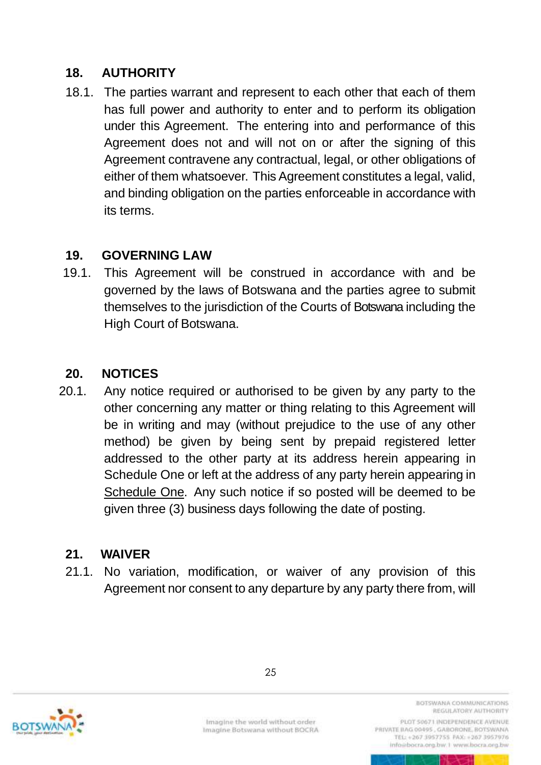## <span id="page-43-0"></span>**18. AUTHORITY**

18.1. The parties warrant and represent to each other that each of them has full power and authority to enter and to perform its obligation under this Agreement. The entering into and performance of this Agreement does not and will not on or after the signing of this Agreement contravene any contractual, legal, or other obligations of either of them whatsoever. This Agreement constitutes a legal, valid, and binding obligation on the parties enforceable in accordance with its terms.

### <span id="page-43-1"></span>**19. GOVERNING LAW**

19.1. This Agreement will be construed in accordance with and be governed by the laws of Botswana and the parties agree to submit themselves to the jurisdiction of the Courts of Botswana including the High Court of Botswana.

## <span id="page-43-2"></span>**20. NOTICES**

20.1. Any notice required or authorised to be given by any party to the other concerning any matter or thing relating to this Agreement will be in writing and may (without prejudice to the use of any other method) be given by being sent by prepaid registered letter addressed to the other party at its address herein appearing in Schedule One or left at the address of any party herein appearing in Schedule One. Any such notice if so posted will be deemed to be given three (3) business days following the date of posting.

## <span id="page-43-3"></span>**21. WAIVER**

21.1. No variation, modification, or waiver of any provision of this Agreement nor consent to any departure by any party there from, will



Imagine the world without order Imagine Botswana without BOCRA

BOTSWANA COMMUNICATIONS REGULATORY AUTHORITY PLOT 50671 INDEPENDENCE AVENUE

PRIVATE BAG 00495, GABORONE, BOTSWANA TEL: +267 3957755 FAX: +267 3957976 info@bocra.org.bw.1 www.bocra.org.bw

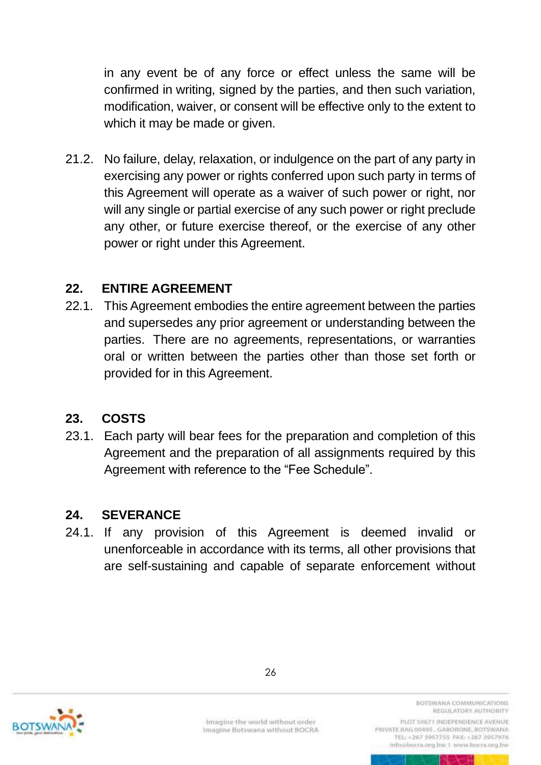in any event be of any force or effect unless the same will be confirmed in writing, signed by the parties, and then such variation, modification, waiver, or consent will be effective only to the extent to which it may be made or given.

21.2. No failure, delay, relaxation, or indulgence on the part of any party in exercising any power or rights conferred upon such party in terms of this Agreement will operate as a waiver of such power or right, nor will any single or partial exercise of any such power or right preclude any other, or future exercise thereof, or the exercise of any other power or right under this Agreement.

### <span id="page-44-0"></span>**22. ENTIRE AGREEMENT**

22.1. This Agreement embodies the entire agreement between the parties and supersedes any prior agreement or understanding between the parties. There are no agreements, representations, or warranties oral or written between the parties other than those set forth or provided for in this Agreement.

## <span id="page-44-1"></span>**23. COSTS**

23.1. Each party will bear fees for the preparation and completion of this Agreement and the preparation of all assignments required by this Agreement with reference to the "Fee Schedule".

### <span id="page-44-2"></span>**24. SEVERANCE**

24.1. If any provision of this Agreement is deemed invalid or unenforceable in accordance with its terms, all other provisions that are self-sustaining and capable of separate enforcement without



Imagine the world without order Imagine Botswana without BOCRA BOTSWANA COMMUNICATIONS REGULATORY AUTHORITY

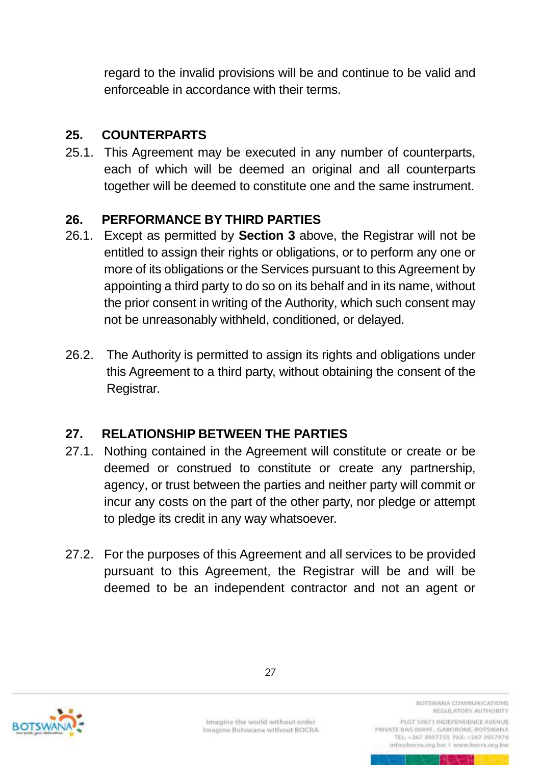regard to the invalid provisions will be and continue to be valid and enforceable in accordance with their terms.

## <span id="page-45-0"></span>**25. COUNTERPARTS**

25.1. This Agreement may be executed in any number of counterparts, each of which will be deemed an original and all counterparts together will be deemed to constitute one and the same instrument.

## <span id="page-45-1"></span>**26. PERFORMANCE BY THIRD PARTIES**

- 26.1. Except as permitted by **Section 3** above, the Registrar will not be entitled to assign their rights or obligations, or to perform any one or more of its obligations or the Services pursuant to this Agreement by appointing a third party to do so on its behalf and in its name, without the prior consent in writing of the Authority, which such consent may not be unreasonably withheld, conditioned, or delayed.
- 26.2. The Authority is permitted to assign its rights and obligations under this Agreement to a third party, without obtaining the consent of the Registrar.

## <span id="page-45-2"></span>**27. RELATIONSHIP BETWEEN THE PARTIES**

- 27.1. Nothing contained in the Agreement will constitute or create or be deemed or construed to constitute or create any partnership, agency, or trust between the parties and neither party will commit or incur any costs on the part of the other party, nor pledge or attempt to pledge its credit in any way whatsoever.
- 27.2. For the purposes of this Agreement and all services to be provided pursuant to this Agreement, the Registrar will be and will be deemed to be an independent contractor and not an agent or



Imagine the world without order Imagine Botswana without BOCRA

BOTSWANA COMMUNICATIONS REGULATORY AUTHORITY PLOT 50671 INDEPENDENCE AVENUE

PRIVATE BAG 00495, GABORONE, BOTSWANA TEL: +267 3957755 FAX: +267 3957976 info@bocra.org.bw.1 www.bocra.org.bw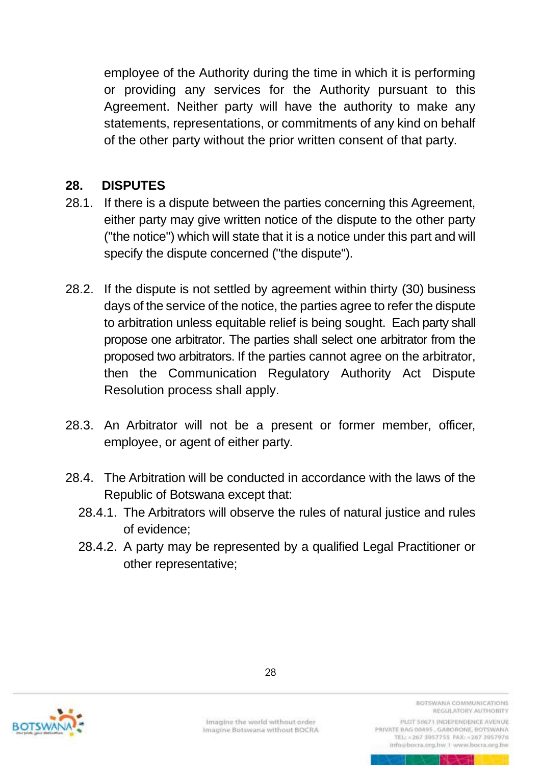employee of the Authority during the time in which it is performing or providing any services for the Authority pursuant to this Agreement. Neither party will have the authority to make any statements, representations, or commitments of any kind on behalf of the other party without the prior written consent of that party.

### <span id="page-46-0"></span>**28. DISPUTES**

- 28.1. If there is a dispute between the parties concerning this Agreement, either party may give written notice of the dispute to the other party ("the notice") which will state that it is a notice under this part and will specify the dispute concerned ("the dispute").
- 28.2. If the dispute is not settled by agreement within thirty (30) business days of the service of the notice, the parties agree to refer the dispute to arbitration unless equitable relief is being sought. Each party shall propose one arbitrator. The parties shall select one arbitrator from the proposed two arbitrators. If the parties cannot agree on the arbitrator, then the Communication Regulatory Authority Act Dispute Resolution process shall apply.
- 28.3. An Arbitrator will not be a present or former member, officer, employee, or agent of either party.
- 28.4. The Arbitration will be conducted in accordance with the laws of the Republic of Botswana except that:
	- 28.4.1. The Arbitrators will observe the rules of natural justice and rules of evidence;
	- 28.4.2. A party may be represented by a qualified Legal Practitioner or other representative;



Imagine the world without order Imagine Botswana without BOCRA BOTSWANA COMMUNICATIONS REGULATORY AUTHORITY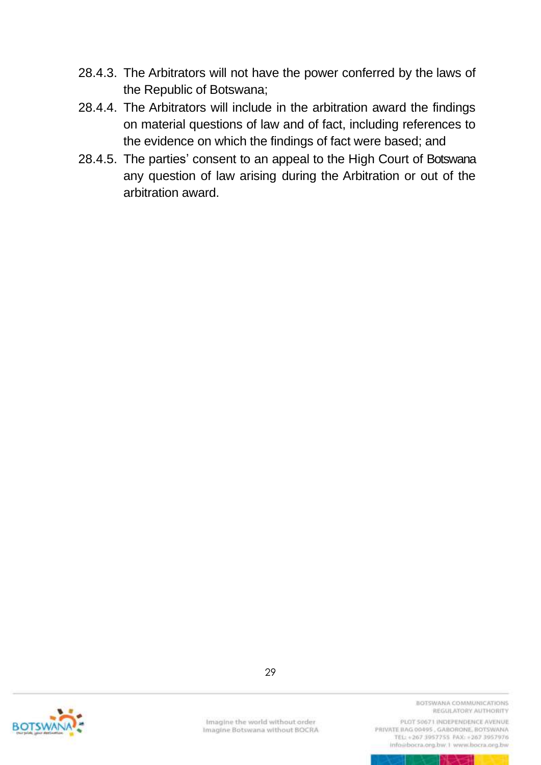- 28.4.3. The Arbitrators will not have the power conferred by the laws of the Republic of Botswana;
- 28.4.4. The Arbitrators will include in the arbitration award the findings on material questions of law and of fact, including references to the evidence on which the findings of fact were based; and
- 28.4.5. The parties' consent to an appeal to the High Court of Botswana any question of law arising during the Arbitration or out of the arbitration award.



29

Imagine the world without order Imagine Botswana without BOCRA BOTSWANA COMMUNICATIONS REGULATORY AUTHORITY

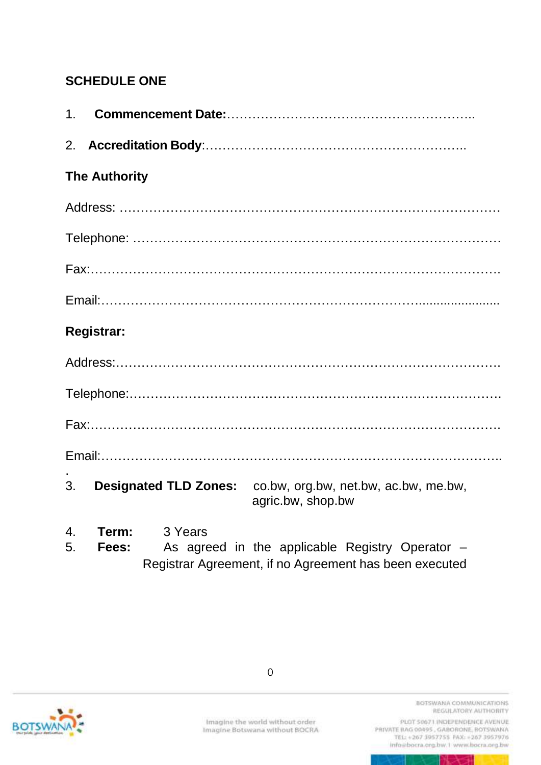# <span id="page-48-0"></span>**SCHEDULE ONE**

| 1.                     |                                                                                                                                        |
|------------------------|----------------------------------------------------------------------------------------------------------------------------------------|
|                        |                                                                                                                                        |
|                        | <b>The Authority</b>                                                                                                                   |
|                        |                                                                                                                                        |
|                        |                                                                                                                                        |
|                        |                                                                                                                                        |
|                        |                                                                                                                                        |
|                        | <b>Registrar:</b>                                                                                                                      |
|                        |                                                                                                                                        |
|                        |                                                                                                                                        |
|                        |                                                                                                                                        |
|                        |                                                                                                                                        |
| 3.                     | <b>Designated TLD Zones:</b> co.bw, org.bw, net.bw, ac.bw, me.bw,<br>agric.bw, shop.bw                                                 |
| $\overline{4}$ .<br>5. | 3 Years<br>Term:<br>As agreed in the applicable Registry Operator -<br>Fees:<br>Registrar Agreement, if no Agreement has been executed |



0

BOTSWANA COMMUNICATIONS REGULATORY AUTHORITY

PLOT 50671 INDEPENDENCE AVENUE info@bocra.org.bw.1 www.bocra.org.bw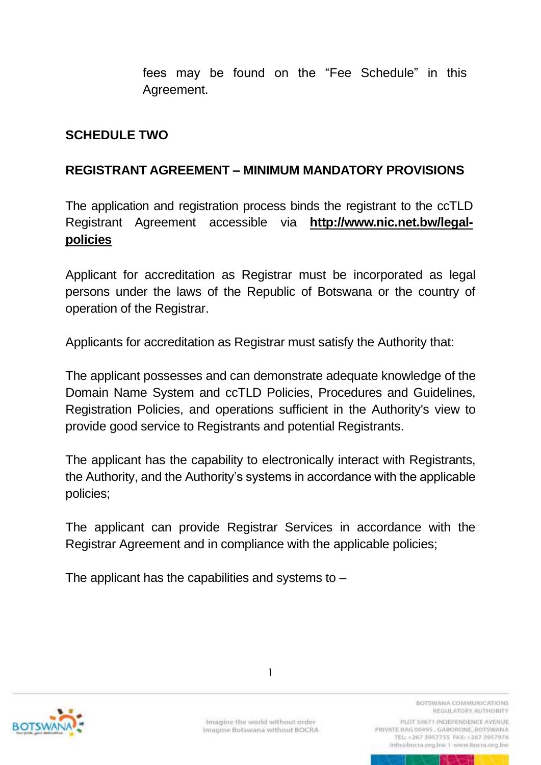fees may be found on the "Fee Schedule" in this Agreement.

#### <span id="page-49-1"></span><span id="page-49-0"></span>**SCHEDULE TWO**

#### **REGISTRANT AGREEMENT – MINIMUM MANDATORY PROVISIONS**

The application and registration process binds the registrant to the ccTLD Registrant Agreement accessible via **[http://www.nic.net.bw/legal](http://www.nic.net.bw/legal-policies)[policies](http://www.nic.net.bw/legal-policies)**

Applicant for accreditation as Registrar must be incorporated as legal persons under the laws of the Republic of Botswana or the country of operation of the Registrar.

Applicants for accreditation as Registrar must satisfy the Authority that:

The applicant possesses and can demonstrate adequate knowledge of the Domain Name System and ccTLD Policies, Procedures and Guidelines, Registration Policies, and operations sufficient in the Authority's view to provide good service to Registrants and potential Registrants.

The applicant has the capability to electronically interact with Registrants, the Authority, and the Authority's systems in accordance with the applicable policies;

The applicant can provide Registrar Services in accordance with the Registrar Agreement and in compliance with the applicable policies;

The applicant has the capabilities and systems to  $-$ 



1

BOTSWANA COMMUNICATIONS REGULATORY AUTHORITY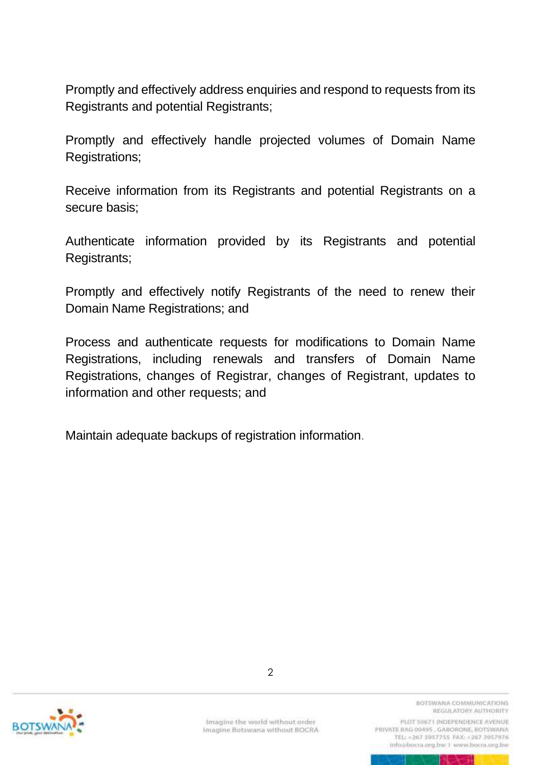Promptly and effectively address enquiries and respond to requests from its Registrants and potential Registrants;

Promptly and effectively handle projected volumes of Domain Name Registrations;

Receive information from its Registrants and potential Registrants on a secure basis;

Authenticate information provided by its Registrants and potential Registrants;

Promptly and effectively notify Registrants of the need to renew their Domain Name Registrations; and

Process and authenticate requests for modifications to Domain Name Registrations, including renewals and transfers of Domain Name Registrations, changes of Registrar, changes of Registrant, updates to information and other requests; and

Maintain adequate backups of registration information.



Imagine the world without order Imagine Botswana without BOCRA BOTSWANA COMMUNICATIONS REGULATORY AUTHORITY

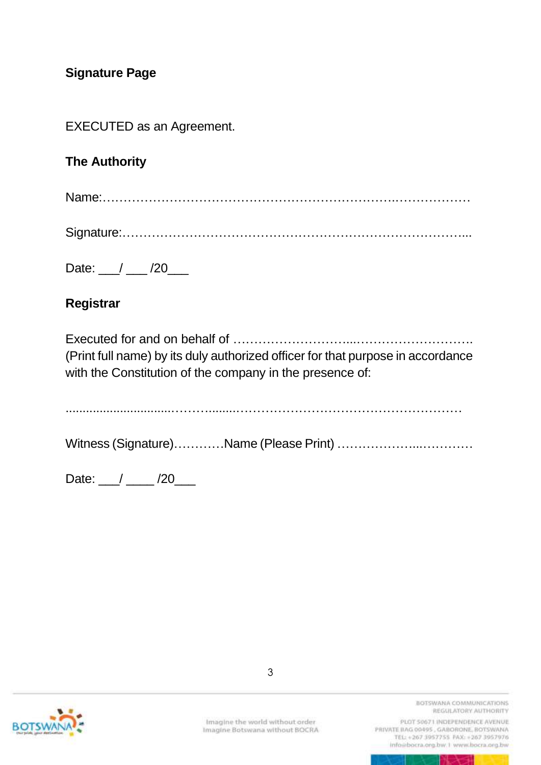## **Signature Page**

EXECUTED as an Agreement.

## **The Authority**

|--|--|

Signature:………………………………………………………………………...

Date: / /20

#### **Registrar**

Executed for and on behalf of ………………………...………………………. (Print full name) by its duly authorized officer for that purpose in accordance with the Constitution of the company in the presence of:

...............................………........………………………………………………

Witness (Signature)…………Name (Please Print) ……………………………

Date: 1 \_\_\_ / \_\_\_ / 20\_\_\_



Imagine the world without order Imagine Botswana without BOCRA

3

BOTSWANA COMMUNICATIONS REGULATORY AUTHORITY

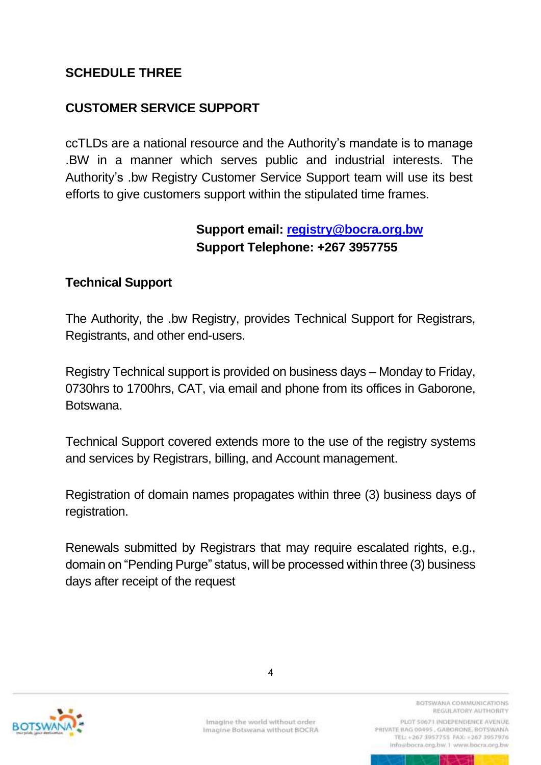## <span id="page-52-0"></span>**SCHEDULE THREE**

## **CUSTOMER SERVICE SUPPORT**

ccTLDs are a national resource and the Authority's mandate is to manage .BW in a manner which serves public and industrial interests. The Authority's .bw Registry Customer Service Support team will use its best efforts to give customers support within the stipulated time frames.

## **Support email: [registry@bocra.org.bw](mailto:registry@bocra.org.bw) Support Telephone: +267 3957755**

#### **Technical Support**

The Authority, the .bw Registry, provides Technical Support for Registrars, Registrants, and other end-users.

Registry Technical support is provided on business days – Monday to Friday, 0730hrs to 1700hrs, CAT, via email and phone from its offices in Gaborone, Botswana.

Technical Support covered extends more to the use of the registry systems and services by Registrars, billing, and Account management.

Registration of domain names propagates within three (3) business days of registration.

Renewals submitted by Registrars that may require escalated rights, e.g., domain on "Pending Purge" status, will be processed within three (3) business days after receipt of the request



BOTSWANA COMMUNICATIONS REGULATORY AUTHORITY

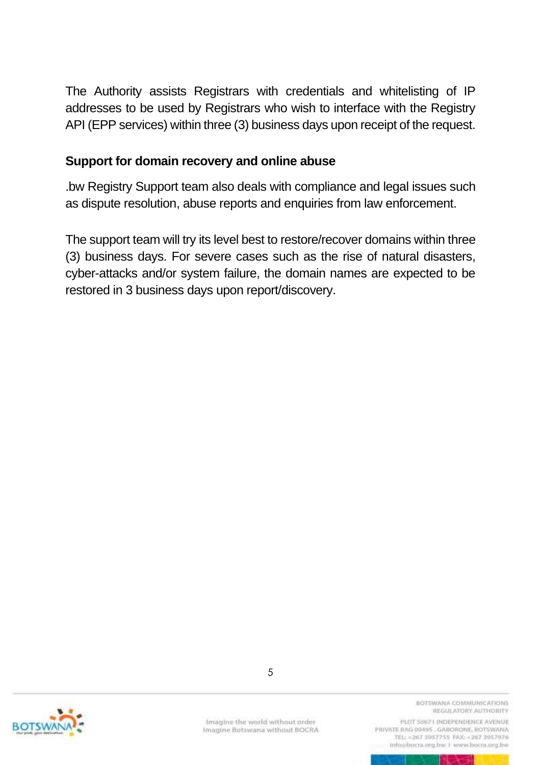The Authority assists Registrars with credentials and whitelisting of IP addresses to be used by Registrars who wish to interface with the Registry API (EPP services) within three (3) business days upon receipt of the request.

#### **Support for domain recovery and online abuse**

.bw Registry Support team also deals with compliance and legal issues such as [dispute resolution,](https://centralnicregistry.com/support/policies/dispute) abuse reports and enquiries from law enforcement.

The support team will try its level best to restore/recover domains within three (3) business days. For severe cases such as the rise of natural disasters, cyber-attacks and/or system failure, the domain names are expected to be restored in 3 business days upon report/discovery.



Imagine the world without order Imagine Botswana without BOCRA

5

BOTSWANA COMMUNICATIONS REGULATORY AUTHORITY